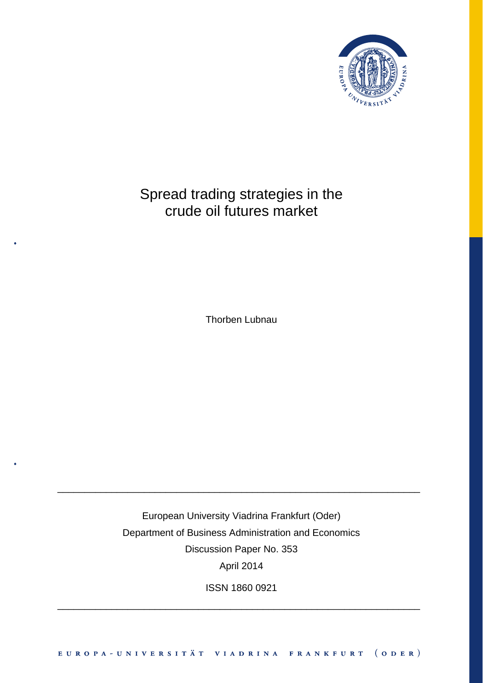

# Spread trading strategies in the crude oil futures market

Thorben Lubnau

European University Viadrina Frankfurt (Oder) Department of Business Administration and Economics Discussion Paper No. 353 April 2014

\_\_\_\_\_\_\_\_\_\_\_\_\_\_\_\_\_\_\_\_\_\_\_\_\_\_\_\_\_\_\_\_\_\_\_\_\_\_\_\_\_\_\_\_\_\_\_\_\_\_\_\_\_\_\_\_\_\_\_\_\_\_\_\_\_\_\_

ISSN 1860 0921

\_\_\_\_\_\_\_\_\_\_\_\_\_\_\_\_\_\_\_\_\_\_\_\_\_\_\_\_\_\_\_\_\_\_\_\_\_\_\_\_\_\_\_\_\_\_\_\_\_\_\_\_\_\_\_\_\_\_\_\_\_\_\_\_\_\_\_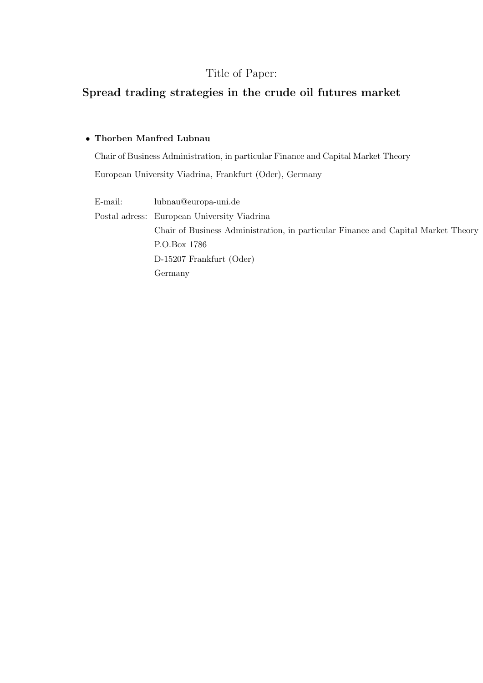## Title of Paper:

## Spread trading strategies in the crude oil futures market

#### • Thorben Manfred Lubnau

Chair of Business Administration, in particular Finance and Capital Market Theory European University Viadrina, Frankfurt (Oder), Germany

E-mail: lubnau@europa-uni.de Postal adress: European University Viadrina Chair of Business Administration, in particular Finance and Capital Market Theory P.O.Box 1786 D-15207 Frankfurt (Oder) Germany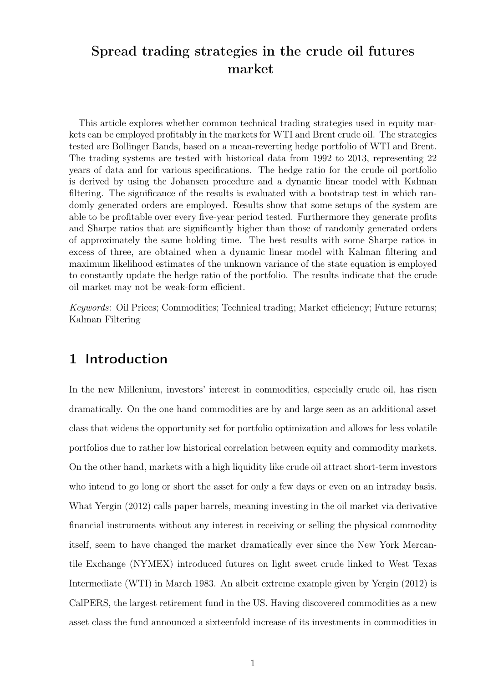## Spread trading strategies in the crude oil futures market

This article explores whether common technical trading strategies used in equity markets can be employed profitably in the markets for WTI and Brent crude oil. The strategies tested are Bollinger Bands, based on a mean-reverting hedge portfolio of WTI and Brent. The trading systems are tested with historical data from 1992 to 2013, representing 22 years of data and for various specifications. The hedge ratio for the crude oil portfolio is derived by using the Johansen procedure and a dynamic linear model with Kalman filtering. The significance of the results is evaluated with a bootstrap test in which randomly generated orders are employed. Results show that some setups of the system are able to be profitable over every five-year period tested. Furthermore they generate profits and Sharpe ratios that are significantly higher than those of randomly generated orders of approximately the same holding time. The best results with some Sharpe ratios in excess of three, are obtained when a dynamic linear model with Kalman filtering and maximum likelihood estimates of the unknown variance of the state equation is employed to constantly update the hedge ratio of the portfolio. The results indicate that the crude oil market may not be weak-form efficient.

Keywords: Oil Prices; Commodities; Technical trading; Market efficiency; Future returns; Kalman Filtering

## 1 Introduction

In the new Millenium, investors' interest in commodities, especially crude oil, has risen dramatically. On the one hand commodities are by and large seen as an additional asset class that widens the opportunity set for portfolio optimization and allows for less volatile portfolios due to rather low historical correlation between equity and commodity markets. On the other hand, markets with a high liquidity like crude oil attract short-term investors who intend to go long or short the asset for only a few days or even on an intraday basis. What Yergin (2012) calls paper barrels, meaning investing in the oil market via derivative financial instruments without any interest in receiving or selling the physical commodity itself, seem to have changed the market dramatically ever since the New York Mercantile Exchange (NYMEX) introduced futures on light sweet crude linked to West Texas Intermediate (WTI) in March 1983. An albeit extreme example given by Yergin (2012) is CalPERS, the largest retirement fund in the US. Having discovered commodities as a new asset class the fund announced a sixteenfold increase of its investments in commodities in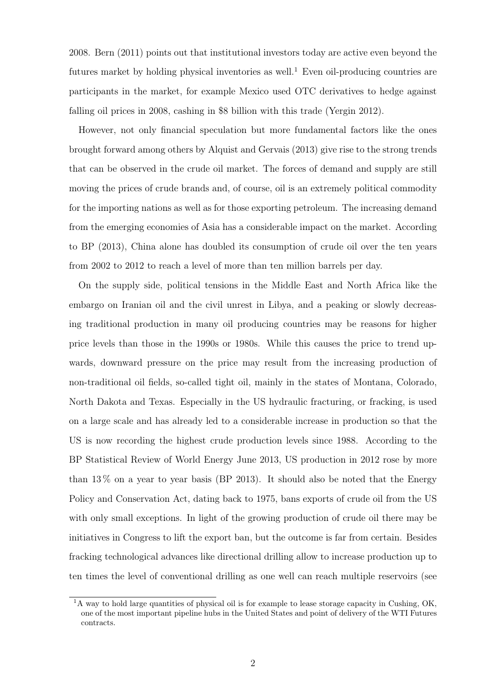2008. Bern (2011) points out that institutional investors today are active even beyond the futures market by holding physical inventories as well.<sup>1</sup> Even oil-producing countries are participants in the market, for example Mexico used OTC derivatives to hedge against falling oil prices in 2008, cashing in \$8 billion with this trade (Yergin 2012).

However, not only financial speculation but more fundamental factors like the ones brought forward among others by Alquist and Gervais (2013) give rise to the strong trends that can be observed in the crude oil market. The forces of demand and supply are still moving the prices of crude brands and, of course, oil is an extremely political commodity for the importing nations as well as for those exporting petroleum. The increasing demand from the emerging economies of Asia has a considerable impact on the market. According to BP (2013), China alone has doubled its consumption of crude oil over the ten years from 2002 to 2012 to reach a level of more than ten million barrels per day.

On the supply side, political tensions in the Middle East and North Africa like the embargo on Iranian oil and the civil unrest in Libya, and a peaking or slowly decreasing traditional production in many oil producing countries may be reasons for higher price levels than those in the 1990s or 1980s. While this causes the price to trend upwards, downward pressure on the price may result from the increasing production of non-traditional oil fields, so-called tight oil, mainly in the states of Montana, Colorado, North Dakota and Texas. Especially in the US hydraulic fracturing, or fracking, is used on a large scale and has already led to a considerable increase in production so that the US is now recording the highest crude production levels since 1988. According to the BP Statistical Review of World Energy June 2013, US production in 2012 rose by more than  $13\%$  on a year to year basis (BP 2013). It should also be noted that the Energy Policy and Conservation Act, dating back to 1975, bans exports of crude oil from the US with only small exceptions. In light of the growing production of crude oil there may be initiatives in Congress to lift the export ban, but the outcome is far from certain. Besides fracking technological advances like directional drilling allow to increase production up to ten times the level of conventional drilling as one well can reach multiple reservoirs (see

<sup>&</sup>lt;sup>1</sup>A way to hold large quantities of physical oil is for example to lease storage capacity in Cushing, OK, one of the most important pipeline hubs in the United States and point of delivery of the WTI Futures contracts.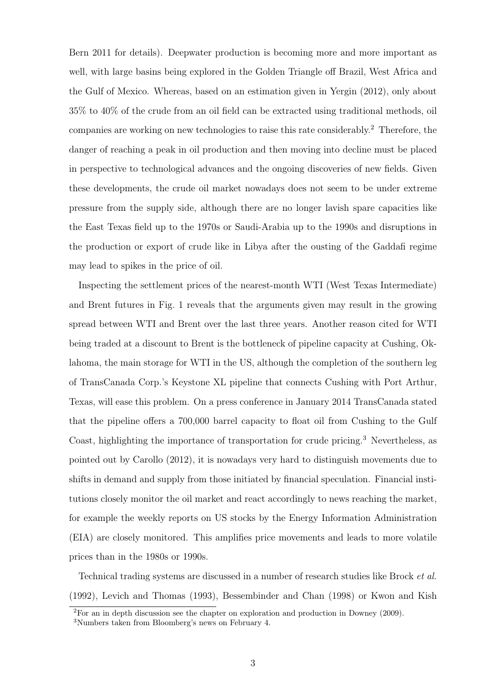Bern 2011 for details). Deepwater production is becoming more and more important as well, with large basins being explored in the Golden Triangle off Brazil, West Africa and the Gulf of Mexico. Whereas, based on an estimation given in Yergin (2012), only about 35% to 40% of the crude from an oil field can be extracted using traditional methods, oil companies are working on new technologies to raise this rate considerably.<sup>2</sup> Therefore, the danger of reaching a peak in oil production and then moving into decline must be placed in perspective to technological advances and the ongoing discoveries of new fields. Given these developments, the crude oil market nowadays does not seem to be under extreme pressure from the supply side, although there are no longer lavish spare capacities like the East Texas field up to the 1970s or Saudi-Arabia up to the 1990s and disruptions in the production or export of crude like in Libya after the ousting of the Gaddafi regime may lead to spikes in the price of oil.

Inspecting the settlement prices of the nearest-month WTI (West Texas Intermediate) and Brent futures in Fig. 1 reveals that the arguments given may result in the growing spread between WTI and Brent over the last three years. Another reason cited for WTI being traded at a discount to Brent is the bottleneck of pipeline capacity at Cushing, Oklahoma, the main storage for WTI in the US, although the completion of the southern leg of TransCanada Corp.'s Keystone XL pipeline that connects Cushing with Port Arthur, Texas, will ease this problem. On a press conference in January 2014 TransCanada stated that the pipeline offers a 700,000 barrel capacity to float oil from Cushing to the Gulf Coast, highlighting the importance of transportation for crude pricing.<sup>3</sup> Nevertheless, as pointed out by Carollo (2012), it is nowadays very hard to distinguish movements due to shifts in demand and supply from those initiated by financial speculation. Financial institutions closely monitor the oil market and react accordingly to news reaching the market, for example the weekly reports on US stocks by the Energy Information Administration (EIA) are closely monitored. This amplifies price movements and leads to more volatile prices than in the 1980s or 1990s.

Technical trading systems are discussed in a number of research studies like Brock et al. (1992), Levich and Thomas (1993), Bessembinder and Chan (1998) or Kwon and Kish

<sup>2</sup>For an in depth discussion see the chapter on exploration and production in Downey (2009).

<sup>3</sup>Numbers taken from Bloomberg's news on February 4.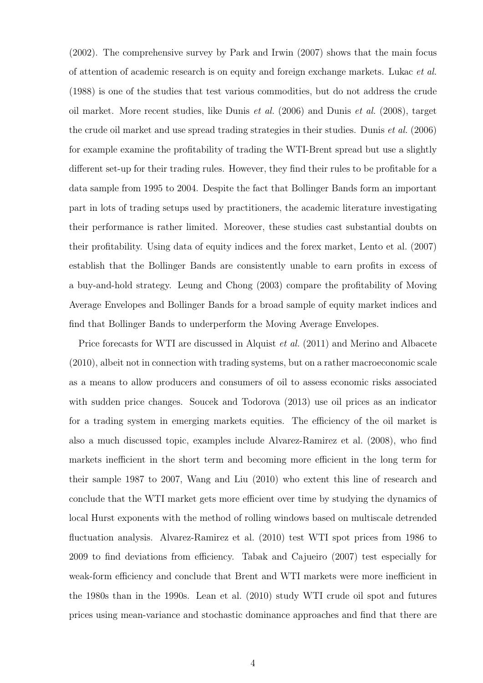(2002). The comprehensive survey by Park and Irwin (2007) shows that the main focus of attention of academic research is on equity and foreign exchange markets. Lukac et al. (1988) is one of the studies that test various commodities, but do not address the crude oil market. More recent studies, like Dunis *et al.*  $(2006)$  and Dunis *et al.*  $(2008)$ , target the crude oil market and use spread trading strategies in their studies. Dunis *et al.* (2006) for example examine the profitability of trading the WTI-Brent spread but use a slightly different set-up for their trading rules. However, they find their rules to be profitable for a data sample from 1995 to 2004. Despite the fact that Bollinger Bands form an important part in lots of trading setups used by practitioners, the academic literature investigating their performance is rather limited. Moreover, these studies cast substantial doubts on their profitability. Using data of equity indices and the forex market, Lento et al. (2007) establish that the Bollinger Bands are consistently unable to earn profits in excess of a buy-and-hold strategy. Leung and Chong (2003) compare the profitability of Moving Average Envelopes and Bollinger Bands for a broad sample of equity market indices and find that Bollinger Bands to underperform the Moving Average Envelopes.

Price forecasts for WTI are discussed in Alquist et al. (2011) and Merino and Albacete (2010), albeit not in connection with trading systems, but on a rather macroeconomic scale as a means to allow producers and consumers of oil to assess economic risks associated with sudden price changes. Soucek and Todorova (2013) use oil prices as an indicator for a trading system in emerging markets equities. The efficiency of the oil market is also a much discussed topic, examples include Alvarez-Ramirez et al. (2008), who find markets inefficient in the short term and becoming more efficient in the long term for their sample 1987 to 2007, Wang and Liu (2010) who extent this line of research and conclude that the WTI market gets more efficient over time by studying the dynamics of local Hurst exponents with the method of rolling windows based on multiscale detrended fluctuation analysis. Alvarez-Ramirez et al. (2010) test WTI spot prices from 1986 to 2009 to find deviations from efficiency. Tabak and Cajueiro (2007) test especially for weak-form efficiency and conclude that Brent and WTI markets were more inefficient in the 1980s than in the 1990s. Lean et al. (2010) study WTI crude oil spot and futures prices using mean-variance and stochastic dominance approaches and find that there are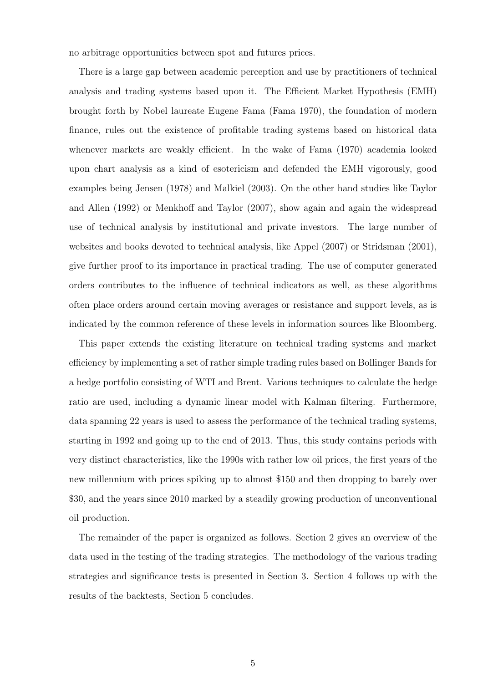no arbitrage opportunities between spot and futures prices.

There is a large gap between academic perception and use by practitioners of technical analysis and trading systems based upon it. The Efficient Market Hypothesis (EMH) brought forth by Nobel laureate Eugene Fama (Fama 1970), the foundation of modern finance, rules out the existence of profitable trading systems based on historical data whenever markets are weakly efficient. In the wake of Fama (1970) academia looked upon chart analysis as a kind of esotericism and defended the EMH vigorously, good examples being Jensen (1978) and Malkiel (2003). On the other hand studies like Taylor and Allen (1992) or Menkhoff and Taylor (2007), show again and again the widespread use of technical analysis by institutional and private investors. The large number of websites and books devoted to technical analysis, like Appel (2007) or Stridsman (2001), give further proof to its importance in practical trading. The use of computer generated orders contributes to the influence of technical indicators as well, as these algorithms often place orders around certain moving averages or resistance and support levels, as is indicated by the common reference of these levels in information sources like Bloomberg.

This paper extends the existing literature on technical trading systems and market efficiency by implementing a set of rather simple trading rules based on Bollinger Bands for a hedge portfolio consisting of WTI and Brent. Various techniques to calculate the hedge ratio are used, including a dynamic linear model with Kalman filtering. Furthermore, data spanning 22 years is used to assess the performance of the technical trading systems, starting in 1992 and going up to the end of 2013. Thus, this study contains periods with very distinct characteristics, like the 1990s with rather low oil prices, the first years of the new millennium with prices spiking up to almost \$150 and then dropping to barely over \$30, and the years since 2010 marked by a steadily growing production of unconventional oil production.

The remainder of the paper is organized as follows. Section 2 gives an overview of the data used in the testing of the trading strategies. The methodology of the various trading strategies and significance tests is presented in Section 3. Section 4 follows up with the results of the backtests, Section 5 concludes.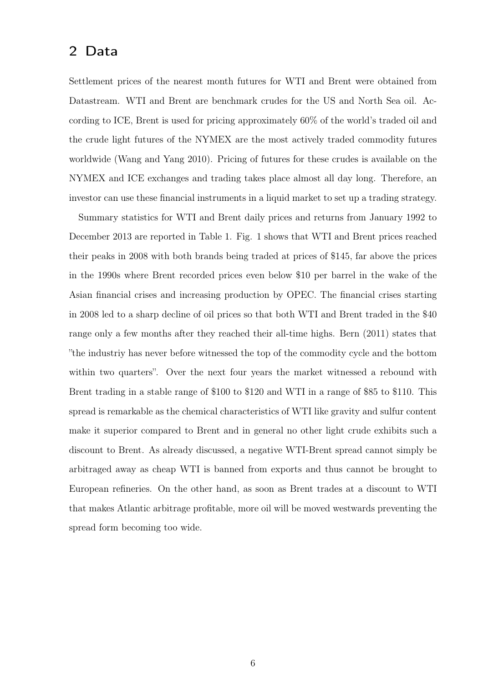## 2 Data

Settlement prices of the nearest month futures for WTI and Brent were obtained from Datastream. WTI and Brent are benchmark crudes for the US and North Sea oil. According to ICE, Brent is used for pricing approximately 60% of the world's traded oil and the crude light futures of the NYMEX are the most actively traded commodity futures worldwide (Wang and Yang 2010). Pricing of futures for these crudes is available on the NYMEX and ICE exchanges and trading takes place almost all day long. Therefore, an investor can use these financial instruments in a liquid market to set up a trading strategy.

Summary statistics for WTI and Brent daily prices and returns from January 1992 to December 2013 are reported in Table 1. Fig. 1 shows that WTI and Brent prices reached their peaks in 2008 with both brands being traded at prices of \$145, far above the prices in the 1990s where Brent recorded prices even below \$10 per barrel in the wake of the Asian financial crises and increasing production by OPEC. The financial crises starting in 2008 led to a sharp decline of oil prices so that both WTI and Brent traded in the \$40 range only a few months after they reached their all-time highs. Bern (2011) states that "the industriy has never before witnessed the top of the commodity cycle and the bottom within two quarters". Over the next four years the market witnessed a rebound with Brent trading in a stable range of \$100 to \$120 and WTI in a range of \$85 to \$110. This spread is remarkable as the chemical characteristics of WTI like gravity and sulfur content make it superior compared to Brent and in general no other light crude exhibits such a discount to Brent. As already discussed, a negative WTI-Brent spread cannot simply be arbitraged away as cheap WTI is banned from exports and thus cannot be brought to European refineries. On the other hand, as soon as Brent trades at a discount to WTI that makes Atlantic arbitrage profitable, more oil will be moved westwards preventing the spread form becoming too wide.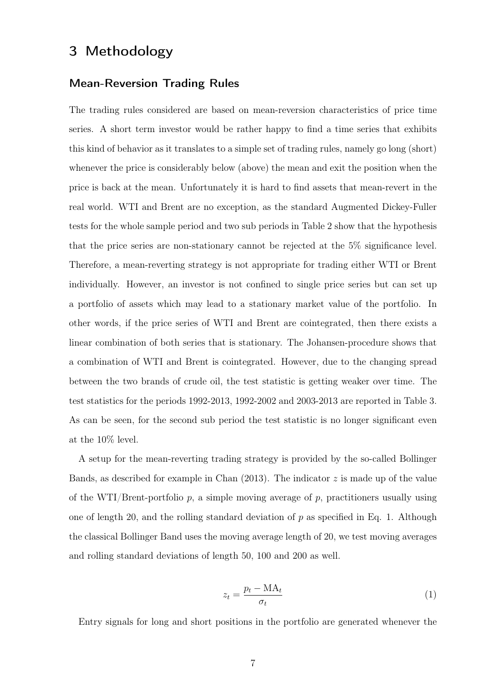## 3 Methodology

#### Mean-Reversion Trading Rules

The trading rules considered are based on mean-reversion characteristics of price time series. A short term investor would be rather happy to find a time series that exhibits this kind of behavior as it translates to a simple set of trading rules, namely go long (short) whenever the price is considerably below (above) the mean and exit the position when the price is back at the mean. Unfortunately it is hard to find assets that mean-revert in the real world. WTI and Brent are no exception, as the standard Augmented Dickey-Fuller tests for the whole sample period and two sub periods in Table 2 show that the hypothesis that the price series are non-stationary cannot be rejected at the 5% significance level. Therefore, a mean-reverting strategy is not appropriate for trading either WTI or Brent individually. However, an investor is not confined to single price series but can set up a portfolio of assets which may lead to a stationary market value of the portfolio. In other words, if the price series of WTI and Brent are cointegrated, then there exists a linear combination of both series that is stationary. The Johansen-procedure shows that a combination of WTI and Brent is cointegrated. However, due to the changing spread between the two brands of crude oil, the test statistic is getting weaker over time. The test statistics for the periods 1992-2013, 1992-2002 and 2003-2013 are reported in Table 3. As can be seen, for the second sub period the test statistic is no longer significant even at the 10% level.

A setup for the mean-reverting trading strategy is provided by the so-called Bollinger Bands, as described for example in Chan  $(2013)$ . The indicator z is made up of the value of the WTI/Brent-portfolio  $p$ , a simple moving average of  $p$ , practitioners usually using one of length 20, and the rolling standard deviation of  $p$  as specified in Eq. 1. Although the classical Bollinger Band uses the moving average length of 20, we test moving averages and rolling standard deviations of length 50, 100 and 200 as well.

$$
z_t = \frac{p_t - \text{MA}_t}{\sigma_t} \tag{1}
$$

Entry signals for long and short positions in the portfolio are generated whenever the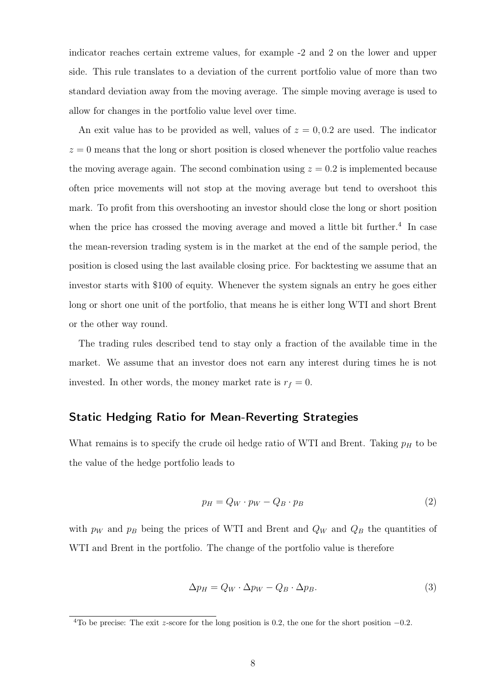indicator reaches certain extreme values, for example -2 and 2 on the lower and upper side. This rule translates to a deviation of the current portfolio value of more than two standard deviation away from the moving average. The simple moving average is used to allow for changes in the portfolio value level over time.

An exit value has to be provided as well, values of  $z = 0, 0.2$  are used. The indicator  $z = 0$  means that the long or short position is closed whenever the portfolio value reaches the moving average again. The second combination using  $z = 0.2$  is implemented because often price movements will not stop at the moving average but tend to overshoot this mark. To profit from this overshooting an investor should close the long or short position when the price has crossed the moving average and moved a little bit further.<sup>4</sup> In case the mean-reversion trading system is in the market at the end of the sample period, the position is closed using the last available closing price. For backtesting we assume that an investor starts with \$100 of equity. Whenever the system signals an entry he goes either long or short one unit of the portfolio, that means he is either long WTI and short Brent or the other way round.

The trading rules described tend to stay only a fraction of the available time in the market. We assume that an investor does not earn any interest during times he is not invested. In other words, the money market rate is  $r_f = 0$ .

#### Static Hedging Ratio for Mean-Reverting Strategies

What remains is to specify the crude oil hedge ratio of WTI and Brent. Taking  $p<sub>H</sub>$  to be the value of the hedge portfolio leads to

$$
p_H = Q_W \cdot p_W - Q_B \cdot p_B \tag{2}
$$

with  $p_W$  and  $p_B$  being the prices of WTI and Brent and  $Q_W$  and  $Q_B$  the quantities of WTI and Brent in the portfolio. The change of the portfolio value is therefore

$$
\Delta p_H = Q_W \cdot \Delta p_W - Q_B \cdot \Delta p_B. \tag{3}
$$

<sup>&</sup>lt;sup>4</sup>To be precise: The exit z-score for the long position is 0.2, the one for the short position  $-0.2$ .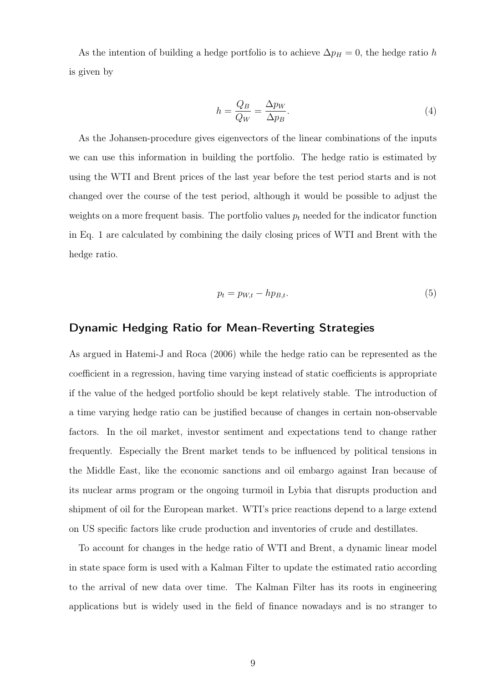As the intention of building a hedge portfolio is to achieve  $\Delta p_H = 0$ , the hedge ratio h is given by

$$
h = \frac{Q_B}{Q_W} = \frac{\Delta p_W}{\Delta p_B}.\tag{4}
$$

As the Johansen-procedure gives eigenvectors of the linear combinations of the inputs we can use this information in building the portfolio. The hedge ratio is estimated by using the WTI and Brent prices of the last year before the test period starts and is not changed over the course of the test period, although it would be possible to adjust the weights on a more frequent basis. The portfolio values  $p_t$  needed for the indicator function in Eq. 1 are calculated by combining the daily closing prices of WTI and Brent with the hedge ratio.

$$
p_t = p_{W,t} - hp_{B,t}.\tag{5}
$$

#### Dynamic Hedging Ratio for Mean-Reverting Strategies

As argued in Hatemi-J and Roca (2006) while the hedge ratio can be represented as the coefficient in a regression, having time varying instead of static coefficients is appropriate if the value of the hedged portfolio should be kept relatively stable. The introduction of a time varying hedge ratio can be justified because of changes in certain non-observable factors. In the oil market, investor sentiment and expectations tend to change rather frequently. Especially the Brent market tends to be influenced by political tensions in the Middle East, like the economic sanctions and oil embargo against Iran because of its nuclear arms program or the ongoing turmoil in Lybia that disrupts production and shipment of oil for the European market. WTI's price reactions depend to a large extend on US specific factors like crude production and inventories of crude and destillates.

To account for changes in the hedge ratio of WTI and Brent, a dynamic linear model in state space form is used with a Kalman Filter to update the estimated ratio according to the arrival of new data over time. The Kalman Filter has its roots in engineering applications but is widely used in the field of finance nowadays and is no stranger to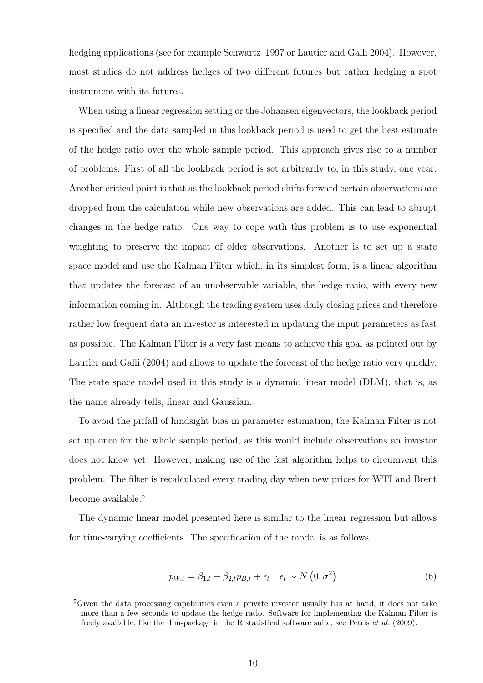hedging applications (see for example Schwartz 1997 or Lautier and Galli 2004). However, most studies do not address hedges of two different futures but rather hedging a spot instrument with its futures.

When using a linear regression setting or the Johansen eigenvectors, the lookback period is specified and the data sampled in this lookback period is used to get the best estimate of the hedge ratio over the whole sample period. This approach gives rise to a number of problems. First of all the lookback period is set arbitrarily to, in this study, one year. Another critical point is that as the lookback period shifts forward certain observations are dropped from the calculation while new observations are added. This can lead to abrupt changes in the hedge ratio. One way to cope with this problem is to use exponential weighting to preserve the impact of older observations. Another is to set up a state space model and use the Kalman Filter which, in its simplest form, is a linear algorithm that updates the forecast of an unobservable variable, the hedge ratio, with every new information coming in. Although the trading system uses daily closing prices and therefore rather low frequent data an investor is interested in updating the input parameters as fast as possible. The Kalman Filter is a very fast means to achieve this goal as pointed out by Lautier and Galli (2004) and allows to update the forecast of the hedge ratio very quickly. The state space model used in this study is a dynamic linear model (DLM), that is, as the name already tells, linear and Gaussian.

To avoid the pitfall of hindsight bias in parameter estimation, the Kalman Filter is not set up once for the whole sample period, as this would include observations an investor does not know yet. However, making use of the fast algorithm helps to circumvent this problem. The filter is recalculated every trading day when new prices for WTI and Brent become available.<sup>5</sup>

The dynamic linear model presented here is similar to the linear regression but allows for time-varying coefficients. The specification of the model is as follows.

$$
p_{W,t} = \beta_{1,t} + \beta_{2,t} p_{B,t} + \epsilon_t \quad \epsilon_t \sim N(0, \sigma^2)
$$
\n
$$
\tag{6}
$$

<sup>&</sup>lt;sup>5</sup>Given the data processing capabilities even a private investor usually has at hand, it does not take more than a few seconds to update the hedge ratio. Software for implementing the Kalman Filter is freely available, like the dlm-package in the R statistical software suite, see Petris et al. (2009).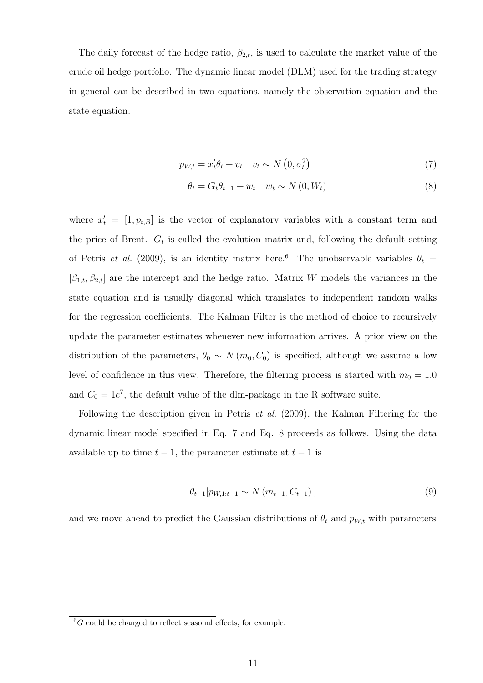The daily forecast of the hedge ratio,  $\beta_{2,t}$ , is used to calculate the market value of the crude oil hedge portfolio. The dynamic linear model (DLM) used for the trading strategy in general can be described in two equations, namely the observation equation and the state equation.

$$
p_{W,t} = x_t' \theta_t + v_t \quad v_t \sim N\left(0, \sigma_t^2\right) \tag{7}
$$

$$
\theta_t = G_t \theta_{t-1} + w_t \quad w_t \sim N(0, W_t)
$$
\n
$$
(8)
$$

where  $x'_{t} = [1, p_{t,B}]$  is the vector of explanatory variables with a constant term and the price of Brent.  $G_t$  is called the evolution matrix and, following the default setting of Petris et al. (2009), is an identity matrix here.<sup>6</sup> The unobservable variables  $\theta_t$  =  $[\beta_{1,t}, \beta_{2,t}]$  are the intercept and the hedge ratio. Matrix W models the variances in the state equation and is usually diagonal which translates to independent random walks for the regression coefficients. The Kalman Filter is the method of choice to recursively update the parameter estimates whenever new information arrives. A prior view on the distribution of the parameters,  $\theta_0 \sim N(m_0, C_0)$  is specified, although we assume a low level of confidence in this view. Therefore, the filtering process is started with  $m_0 = 1.0$ and  $C_0 = 1e^7$ , the default value of the dlm-package in the R software suite.

Following the description given in Petris et al. (2009), the Kalman Filtering for the dynamic linear model specified in Eq. 7 and Eq. 8 proceeds as follows. Using the data available up to time  $t-1$ , the parameter estimate at  $t-1$  is

$$
\theta_{t-1}|p_{W,1:t-1} \sim N(m_{t-1}, C_{t-1}), \qquad (9)
$$

and we move ahead to predict the Gaussian distributions of  $\theta_t$  and  $p_{W,t}$  with parameters

 $\frac{6}{6}$  could be changed to reflect seasonal effects, for example.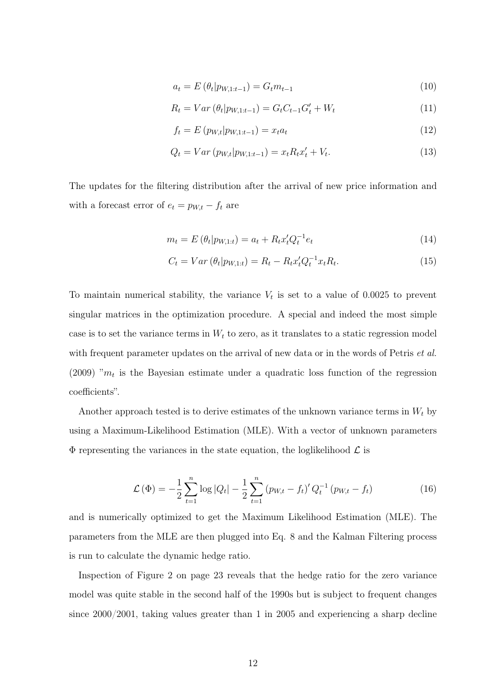$$
a_t = E\left(\theta_t | p_{W,1:t-1}\right) = G_t m_{t-1} \tag{10}
$$

$$
R_t = Var\left(\theta_t | p_{W,1:t-1}\right) = G_t C_{t-1} G_t' + W_t \tag{11}
$$

$$
f_t = E(p_{W,t}|p_{W,1:t-1}) = x_t a_t
$$
\n(12)

$$
Q_t = Var(p_{W,t}|p_{W,1:t-1}) = x_t R_t x'_t + V_t.
$$
\n(13)

The updates for the filtering distribution after the arrival of new price information and with a forecast error of  $e_t = p_{W,t} - f_t$  are

$$
m_t = E(\theta_t | p_{W,1:t}) = a_t + R_t x_t' Q_t^{-1} e_t \tag{14}
$$

$$
C_t = Var(\theta_t | p_{W,1:t}) = R_t - R_t x_t^t Q_t^{-1} x_t R_t.
$$
\n(15)

To maintain numerical stability, the variance  $V_t$  is set to a value of 0.0025 to prevent singular matrices in the optimization procedure. A special and indeed the most simple case is to set the variance terms in  $W_t$  to zero, as it translates to a static regression model with frequent parameter updates on the arrival of new data or in the words of Petris *et al.* (2009) " $m_t$  is the Bayesian estimate under a quadratic loss function of the regression coefficients".

Another approach tested is to derive estimates of the unknown variance terms in  $W_t$  by using a Maximum-Likelihood Estimation (MLE). With a vector of unknown parameters  $\Phi$  representing the variances in the state equation, the loglikelihood  $\mathcal L$  is

$$
\mathcal{L}\left(\Phi\right) = -\frac{1}{2} \sum_{t=1}^{n} \log |Q_t| - \frac{1}{2} \sum_{t=1}^{n} \left( p_{W,t} - f_t \right)' Q_t^{-1} \left( p_{W,t} - f_t \right) \tag{16}
$$

and is numerically optimized to get the Maximum Likelihood Estimation (MLE). The parameters from the MLE are then plugged into Eq. 8 and the Kalman Filtering process is run to calculate the dynamic hedge ratio.

Inspection of Figure 2 on page 23 reveals that the hedge ratio for the zero variance model was quite stable in the second half of the 1990s but is subject to frequent changes since 2000/2001, taking values greater than 1 in 2005 and experiencing a sharp decline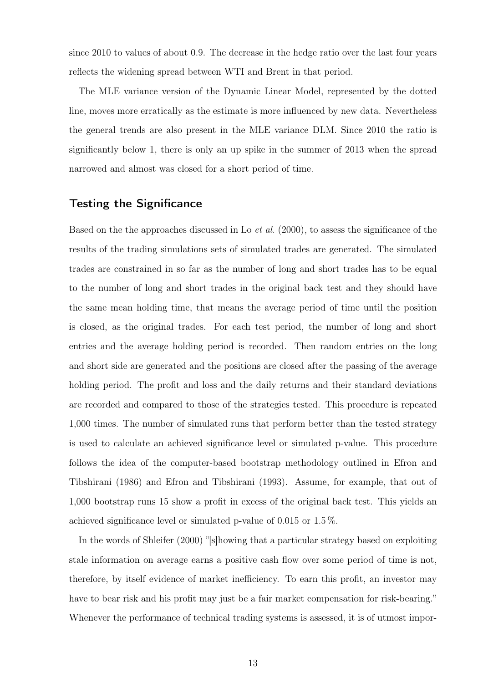since 2010 to values of about 0.9. The decrease in the hedge ratio over the last four years reflects the widening spread between WTI and Brent in that period.

The MLE variance version of the Dynamic Linear Model, represented by the dotted line, moves more erratically as the estimate is more influenced by new data. Nevertheless the general trends are also present in the MLE variance DLM. Since 2010 the ratio is significantly below 1, there is only an up spike in the summer of 2013 when the spread narrowed and almost was closed for a short period of time.

#### Testing the Significance

Based on the the approaches discussed in Lo *et al.* (2000), to assess the significance of the results of the trading simulations sets of simulated trades are generated. The simulated trades are constrained in so far as the number of long and short trades has to be equal to the number of long and short trades in the original back test and they should have the same mean holding time, that means the average period of time until the position is closed, as the original trades. For each test period, the number of long and short entries and the average holding period is recorded. Then random entries on the long and short side are generated and the positions are closed after the passing of the average holding period. The profit and loss and the daily returns and their standard deviations are recorded and compared to those of the strategies tested. This procedure is repeated 1,000 times. The number of simulated runs that perform better than the tested strategy is used to calculate an achieved significance level or simulated p-value. This procedure follows the idea of the computer-based bootstrap methodology outlined in Efron and Tibshirani (1986) and Efron and Tibshirani (1993). Assume, for example, that out of 1,000 bootstrap runs 15 show a profit in excess of the original back test. This yields an achieved significance level or simulated p-value of 0.015 or 1.5 %.

In the words of Shleifer (2000) "[s]howing that a particular strategy based on exploiting stale information on average earns a positive cash flow over some period of time is not, therefore, by itself evidence of market inefficiency. To earn this profit, an investor may have to bear risk and his profit may just be a fair market compensation for risk-bearing." Whenever the performance of technical trading systems is assessed, it is of utmost impor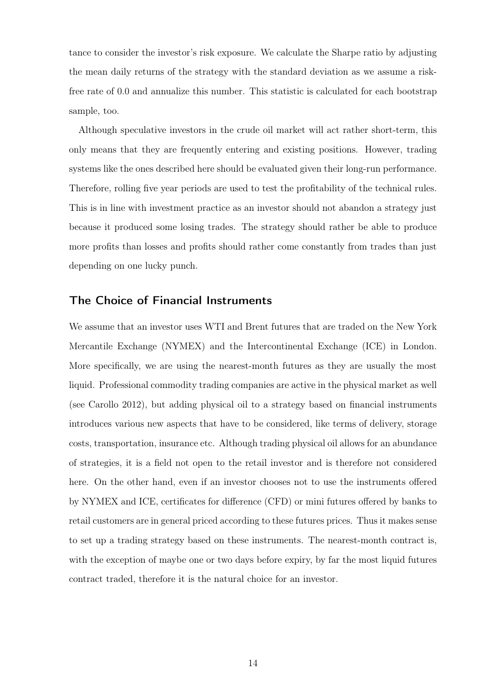tance to consider the investor's risk exposure. We calculate the Sharpe ratio by adjusting the mean daily returns of the strategy with the standard deviation as we assume a riskfree rate of 0.0 and annualize this number. This statistic is calculated for each bootstrap sample, too.

Although speculative investors in the crude oil market will act rather short-term, this only means that they are frequently entering and existing positions. However, trading systems like the ones described here should be evaluated given their long-run performance. Therefore, rolling five year periods are used to test the profitability of the technical rules. This is in line with investment practice as an investor should not abandon a strategy just because it produced some losing trades. The strategy should rather be able to produce more profits than losses and profits should rather come constantly from trades than just depending on one lucky punch.

#### The Choice of Financial Instruments

We assume that an investor uses WTI and Brent futures that are traded on the New York Mercantile Exchange (NYMEX) and the Intercontinental Exchange (ICE) in London. More specifically, we are using the nearest-month futures as they are usually the most liquid. Professional commodity trading companies are active in the physical market as well (see Carollo 2012), but adding physical oil to a strategy based on financial instruments introduces various new aspects that have to be considered, like terms of delivery, storage costs, transportation, insurance etc. Although trading physical oil allows for an abundance of strategies, it is a field not open to the retail investor and is therefore not considered here. On the other hand, even if an investor chooses not to use the instruments offered by NYMEX and ICE, certificates for difference (CFD) or mini futures offered by banks to retail customers are in general priced according to these futures prices. Thus it makes sense to set up a trading strategy based on these instruments. The nearest-month contract is, with the exception of maybe one or two days before expiry, by far the most liquid futures contract traded, therefore it is the natural choice for an investor.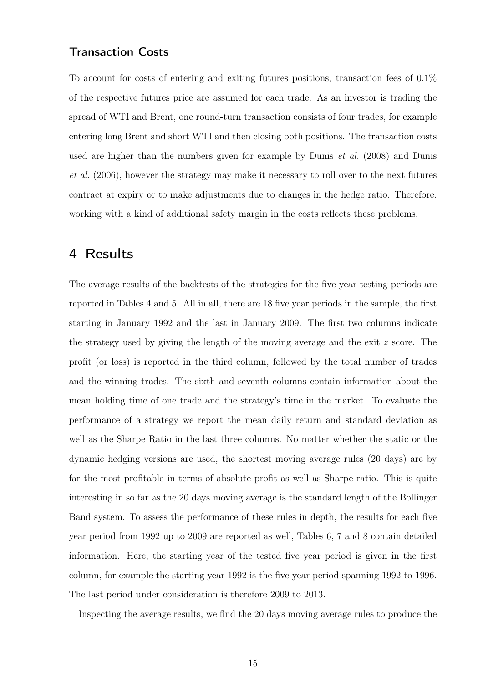#### Transaction Costs

To account for costs of entering and exiting futures positions, transaction fees of 0.1% of the respective futures price are assumed for each trade. As an investor is trading the spread of WTI and Brent, one round-turn transaction consists of four trades, for example entering long Brent and short WTI and then closing both positions. The transaction costs used are higher than the numbers given for example by Dunis et al. (2008) and Dunis et al. (2006), however the strategy may make it necessary to roll over to the next futures contract at expiry or to make adjustments due to changes in the hedge ratio. Therefore, working with a kind of additional safety margin in the costs reflects these problems.

## 4 Results

The average results of the backtests of the strategies for the five year testing periods are reported in Tables 4 and 5. All in all, there are 18 five year periods in the sample, the first starting in January 1992 and the last in January 2009. The first two columns indicate the strategy used by giving the length of the moving average and the exit z score. The profit (or loss) is reported in the third column, followed by the total number of trades and the winning trades. The sixth and seventh columns contain information about the mean holding time of one trade and the strategy's time in the market. To evaluate the performance of a strategy we report the mean daily return and standard deviation as well as the Sharpe Ratio in the last three columns. No matter whether the static or the dynamic hedging versions are used, the shortest moving average rules (20 days) are by far the most profitable in terms of absolute profit as well as Sharpe ratio. This is quite interesting in so far as the 20 days moving average is the standard length of the Bollinger Band system. To assess the performance of these rules in depth, the results for each five year period from 1992 up to 2009 are reported as well, Tables 6, 7 and 8 contain detailed information. Here, the starting year of the tested five year period is given in the first column, for example the starting year 1992 is the five year period spanning 1992 to 1996. The last period under consideration is therefore 2009 to 2013.

Inspecting the average results, we find the 20 days moving average rules to produce the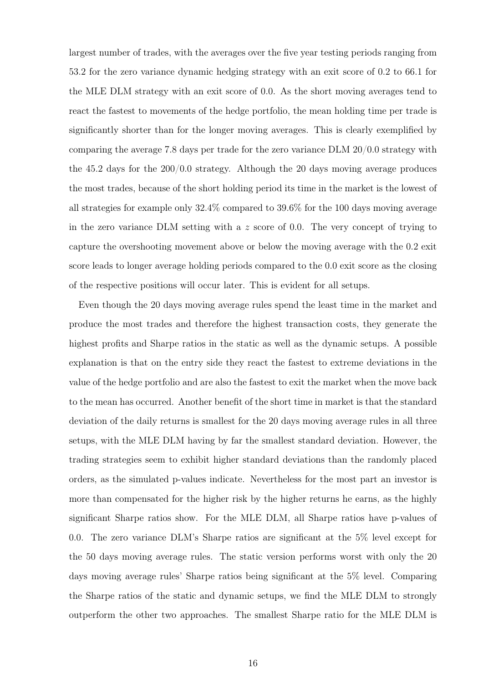largest number of trades, with the averages over the five year testing periods ranging from 53.2 for the zero variance dynamic hedging strategy with an exit score of 0.2 to 66.1 for the MLE DLM strategy with an exit score of 0.0. As the short moving averages tend to react the fastest to movements of the hedge portfolio, the mean holding time per trade is significantly shorter than for the longer moving averages. This is clearly exemplified by comparing the average 7.8 days per trade for the zero variance DLM 20/0.0 strategy with the 45.2 days for the 200/0.0 strategy. Although the 20 days moving average produces the most trades, because of the short holding period its time in the market is the lowest of all strategies for example only 32.4% compared to 39.6% for the 100 days moving average in the zero variance DLM setting with a z score of 0.0. The very concept of trying to capture the overshooting movement above or below the moving average with the 0.2 exit score leads to longer average holding periods compared to the 0.0 exit score as the closing of the respective positions will occur later. This is evident for all setups.

Even though the 20 days moving average rules spend the least time in the market and produce the most trades and therefore the highest transaction costs, they generate the highest profits and Sharpe ratios in the static as well as the dynamic setups. A possible explanation is that on the entry side they react the fastest to extreme deviations in the value of the hedge portfolio and are also the fastest to exit the market when the move back to the mean has occurred. Another benefit of the short time in market is that the standard deviation of the daily returns is smallest for the 20 days moving average rules in all three setups, with the MLE DLM having by far the smallest standard deviation. However, the trading strategies seem to exhibit higher standard deviations than the randomly placed orders, as the simulated p-values indicate. Nevertheless for the most part an investor is more than compensated for the higher risk by the higher returns he earns, as the highly significant Sharpe ratios show. For the MLE DLM, all Sharpe ratios have p-values of 0.0. The zero variance DLM's Sharpe ratios are significant at the 5% level except for the 50 days moving average rules. The static version performs worst with only the 20 days moving average rules' Sharpe ratios being significant at the 5% level. Comparing the Sharpe ratios of the static and dynamic setups, we find the MLE DLM to strongly outperform the other two approaches. The smallest Sharpe ratio for the MLE DLM is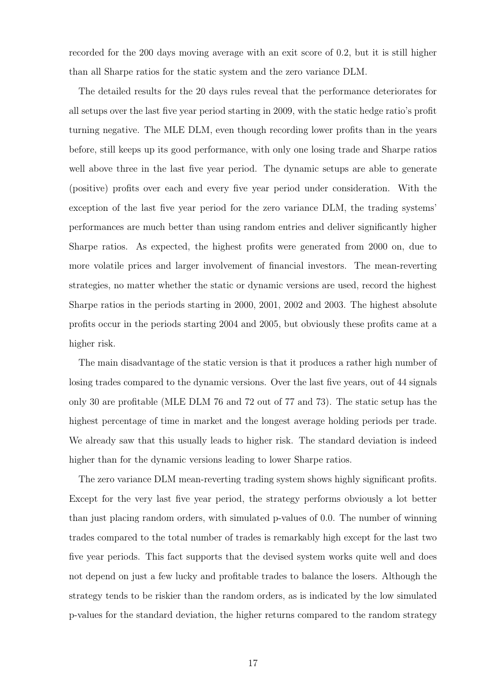recorded for the 200 days moving average with an exit score of 0.2, but it is still higher than all Sharpe ratios for the static system and the zero variance DLM.

The detailed results for the 20 days rules reveal that the performance deteriorates for all setups over the last five year period starting in 2009, with the static hedge ratio's profit turning negative. The MLE DLM, even though recording lower profits than in the years before, still keeps up its good performance, with only one losing trade and Sharpe ratios well above three in the last five year period. The dynamic setups are able to generate (positive) profits over each and every five year period under consideration. With the exception of the last five year period for the zero variance DLM, the trading systems' performances are much better than using random entries and deliver significantly higher Sharpe ratios. As expected, the highest profits were generated from 2000 on, due to more volatile prices and larger involvement of financial investors. The mean-reverting strategies, no matter whether the static or dynamic versions are used, record the highest Sharpe ratios in the periods starting in 2000, 2001, 2002 and 2003. The highest absolute profits occur in the periods starting 2004 and 2005, but obviously these profits came at a higher risk.

The main disadvantage of the static version is that it produces a rather high number of losing trades compared to the dynamic versions. Over the last five years, out of 44 signals only 30 are profitable (MLE DLM 76 and 72 out of 77 and 73). The static setup has the highest percentage of time in market and the longest average holding periods per trade. We already saw that this usually leads to higher risk. The standard deviation is indeed higher than for the dynamic versions leading to lower Sharpe ratios.

The zero variance DLM mean-reverting trading system shows highly significant profits. Except for the very last five year period, the strategy performs obviously a lot better than just placing random orders, with simulated p-values of 0.0. The number of winning trades compared to the total number of trades is remarkably high except for the last two five year periods. This fact supports that the devised system works quite well and does not depend on just a few lucky and profitable trades to balance the losers. Although the strategy tends to be riskier than the random orders, as is indicated by the low simulated p-values for the standard deviation, the higher returns compared to the random strategy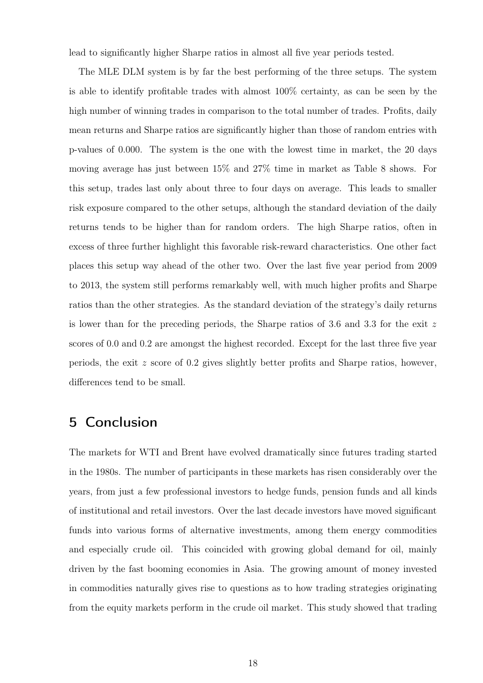lead to significantly higher Sharpe ratios in almost all five year periods tested.

The MLE DLM system is by far the best performing of the three setups. The system is able to identify profitable trades with almost 100% certainty, as can be seen by the high number of winning trades in comparison to the total number of trades. Profits, daily mean returns and Sharpe ratios are significantly higher than those of random entries with p-values of 0.000. The system is the one with the lowest time in market, the 20 days moving average has just between 15% and 27% time in market as Table 8 shows. For this setup, trades last only about three to four days on average. This leads to smaller risk exposure compared to the other setups, although the standard deviation of the daily returns tends to be higher than for random orders. The high Sharpe ratios, often in excess of three further highlight this favorable risk-reward characteristics. One other fact places this setup way ahead of the other two. Over the last five year period from 2009 to 2013, the system still performs remarkably well, with much higher profits and Sharpe ratios than the other strategies. As the standard deviation of the strategy's daily returns is lower than for the preceding periods, the Sharpe ratios of 3.6 and 3.3 for the exit z scores of 0.0 and 0.2 are amongst the highest recorded. Except for the last three five year periods, the exit z score of 0.2 gives slightly better profits and Sharpe ratios, however, differences tend to be small.

## 5 Conclusion

The markets for WTI and Brent have evolved dramatically since futures trading started in the 1980s. The number of participants in these markets has risen considerably over the years, from just a few professional investors to hedge funds, pension funds and all kinds of institutional and retail investors. Over the last decade investors have moved significant funds into various forms of alternative investments, among them energy commodities and especially crude oil. This coincided with growing global demand for oil, mainly driven by the fast booming economies in Asia. The growing amount of money invested in commodities naturally gives rise to questions as to how trading strategies originating from the equity markets perform in the crude oil market. This study showed that trading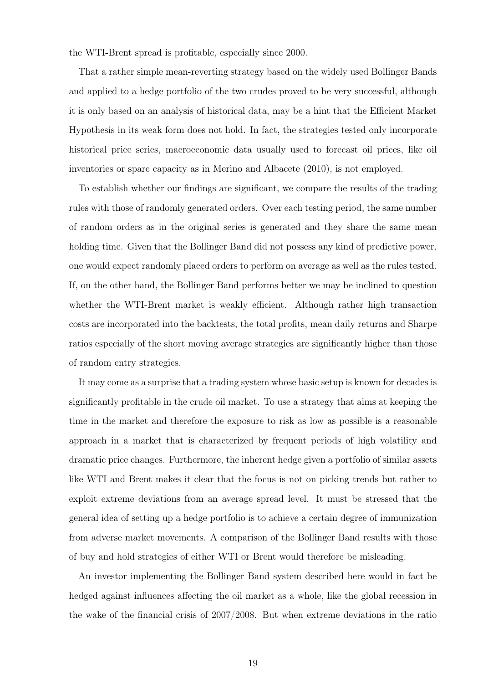the WTI-Brent spread is profitable, especially since 2000.

That a rather simple mean-reverting strategy based on the widely used Bollinger Bands and applied to a hedge portfolio of the two crudes proved to be very successful, although it is only based on an analysis of historical data, may be a hint that the Efficient Market Hypothesis in its weak form does not hold. In fact, the strategies tested only incorporate historical price series, macroeconomic data usually used to forecast oil prices, like oil inventories or spare capacity as in Merino and Albacete (2010), is not employed.

To establish whether our findings are significant, we compare the results of the trading rules with those of randomly generated orders. Over each testing period, the same number of random orders as in the original series is generated and they share the same mean holding time. Given that the Bollinger Band did not possess any kind of predictive power, one would expect randomly placed orders to perform on average as well as the rules tested. If, on the other hand, the Bollinger Band performs better we may be inclined to question whether the WTI-Brent market is weakly efficient. Although rather high transaction costs are incorporated into the backtests, the total profits, mean daily returns and Sharpe ratios especially of the short moving average strategies are significantly higher than those of random entry strategies.

It may come as a surprise that a trading system whose basic setup is known for decades is significantly profitable in the crude oil market. To use a strategy that aims at keeping the time in the market and therefore the exposure to risk as low as possible is a reasonable approach in a market that is characterized by frequent periods of high volatility and dramatic price changes. Furthermore, the inherent hedge given a portfolio of similar assets like WTI and Brent makes it clear that the focus is not on picking trends but rather to exploit extreme deviations from an average spread level. It must be stressed that the general idea of setting up a hedge portfolio is to achieve a certain degree of immunization from adverse market movements. A comparison of the Bollinger Band results with those of buy and hold strategies of either WTI or Brent would therefore be misleading.

An investor implementing the Bollinger Band system described here would in fact be hedged against influences affecting the oil market as a whole, like the global recession in the wake of the financial crisis of 2007/2008. But when extreme deviations in the ratio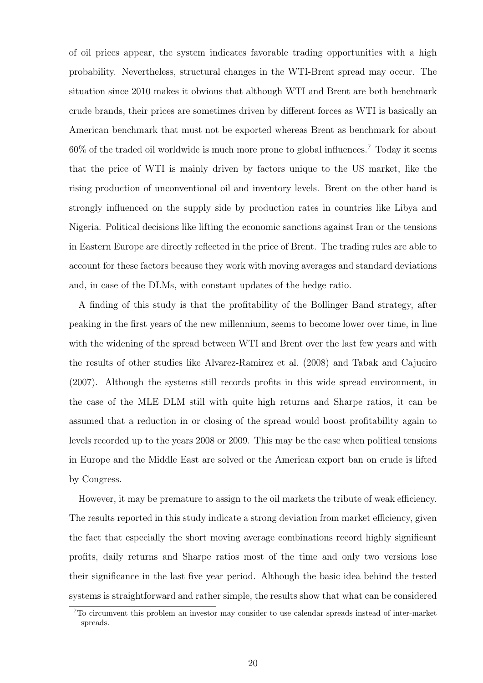of oil prices appear, the system indicates favorable trading opportunities with a high probability. Nevertheless, structural changes in the WTI-Brent spread may occur. The situation since 2010 makes it obvious that although WTI and Brent are both benchmark crude brands, their prices are sometimes driven by different forces as WTI is basically an American benchmark that must not be exported whereas Brent as benchmark for about  $60\%$  of the traded oil worldwide is much more prone to global influences.<sup>7</sup> Today it seems that the price of WTI is mainly driven by factors unique to the US market, like the rising production of unconventional oil and inventory levels. Brent on the other hand is strongly influenced on the supply side by production rates in countries like Libya and Nigeria. Political decisions like lifting the economic sanctions against Iran or the tensions in Eastern Europe are directly reflected in the price of Brent. The trading rules are able to account for these factors because they work with moving averages and standard deviations and, in case of the DLMs, with constant updates of the hedge ratio.

A finding of this study is that the profitability of the Bollinger Band strategy, after peaking in the first years of the new millennium, seems to become lower over time, in line with the widening of the spread between WTI and Brent over the last few years and with the results of other studies like Alvarez-Ramirez et al. (2008) and Tabak and Cajueiro (2007). Although the systems still records profits in this wide spread environment, in the case of the MLE DLM still with quite high returns and Sharpe ratios, it can be assumed that a reduction in or closing of the spread would boost profitability again to levels recorded up to the years 2008 or 2009. This may be the case when political tensions in Europe and the Middle East are solved or the American export ban on crude is lifted by Congress.

However, it may be premature to assign to the oil markets the tribute of weak efficiency. The results reported in this study indicate a strong deviation from market efficiency, given the fact that especially the short moving average combinations record highly significant profits, daily returns and Sharpe ratios most of the time and only two versions lose their significance in the last five year period. Although the basic idea behind the tested systems is straightforward and rather simple, the results show that what can be considered

<sup>7</sup>To circumvent this problem an investor may consider to use calendar spreads instead of inter-market spreads.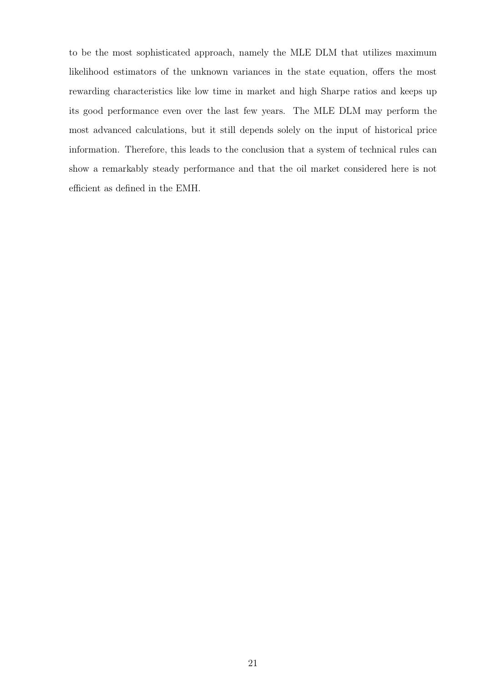to be the most sophisticated approach, namely the MLE DLM that utilizes maximum likelihood estimators of the unknown variances in the state equation, offers the most rewarding characteristics like low time in market and high Sharpe ratios and keeps up its good performance even over the last few years. The MLE DLM may perform the most advanced calculations, but it still depends solely on the input of historical price information. Therefore, this leads to the conclusion that a system of technical rules can show a remarkably steady performance and that the oil market considered here is not efficient as defined in the EMH.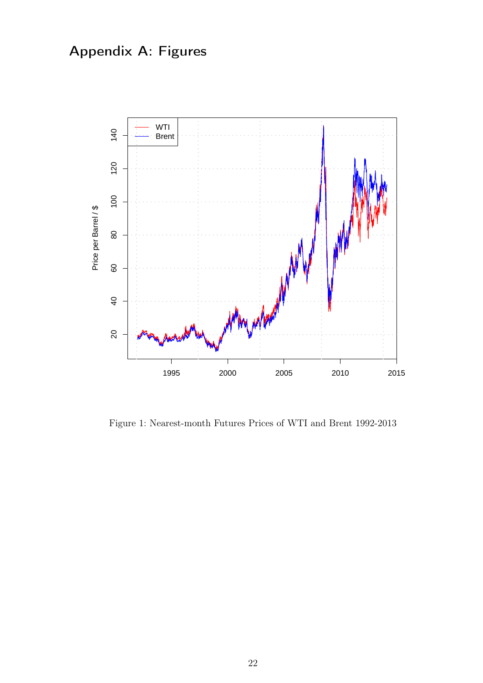# Appendix A: Figures



Figure 1: Nearest-month Futures Prices of WTI and Brent 1992-2013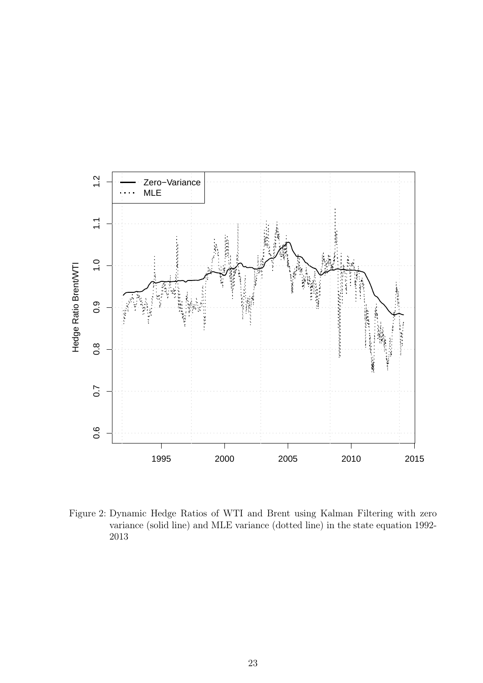

Figure 2: Dynamic Hedge Ratios of WTI and Brent using Kalman Filtering with zero variance (solid line) and MLE variance (dotted line) in the state equation 1992- 2013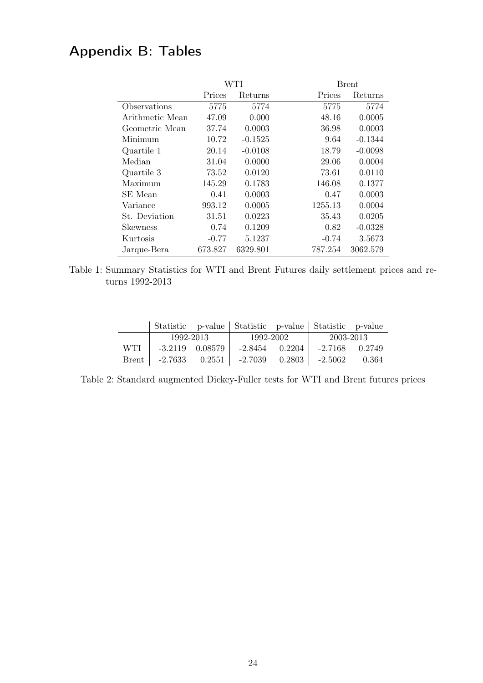# Appendix B: Tables

|                 |         | WTI       |         | <b>Brent</b> |
|-----------------|---------|-----------|---------|--------------|
|                 | Prices  | Returns   | Prices  | Returns      |
| Observations    | 5775    | 5774      | 5775    | 5774         |
| Arithmetic Mean | 47.09   | 0.000     | 48.16   | 0.0005       |
| Geometric Mean  | 37.74   | 0.0003    | 36.98   | 0.0003       |
| Minimum         | 10.72   | $-0.1525$ | 9.64    | $-0.1344$    |
| Quartile 1      | 20.14   | $-0.0108$ | 18.79   | $-0.0098$    |
| Median          | 31.04   | 0.0000    | 29.06   | 0.0004       |
| Quartile 3      | 73.52   | 0.0120    | 73.61   | 0.0110       |
| Maximum         | 145.29  | 0.1783    | 146.08  | 0.1377       |
| SE Mean         | 0.41    | 0.0003    | 0.47    | 0.0003       |
| Variance        | 993.12  | 0.0005    | 1255.13 | 0.0004       |
| St. Deviation   | 31.51   | 0.0223    | 35.43   | 0.0205       |
| <b>Skewness</b> | 0.74    | 0.1209    | 0.82    | $-0.0328$    |
| Kurtosis        | $-0.77$ | 5.1237    | $-0.74$ | 3.5673       |
| Jarque-Bera     | 673.827 | 6329.801  | 787.254 | 3062.579     |

Table 1: Summary Statistics for WTI and Brent Futures daily settlement prices and returns 1992-2013

|       |           |                   | Statistic p-value Statistic p-value Statistic p-value |                  |        |  |
|-------|-----------|-------------------|-------------------------------------------------------|------------------|--------|--|
|       | 1992-2013 |                   | 1992-2002                                             | 2003-2013        |        |  |
| WTI – |           | $-3.2119$ 0.08579 | $-2.8454$ 0.2204                                      | $-2.7168$ 0.2749 |        |  |
| Brent |           |                   | $-2.7633$ $0.2551$ $-2.7039$ $0.2803$ $-2.5062$       |                  | -0.364 |  |

Table 2: Standard augmented Dickey-Fuller tests for WTI and Brent futures prices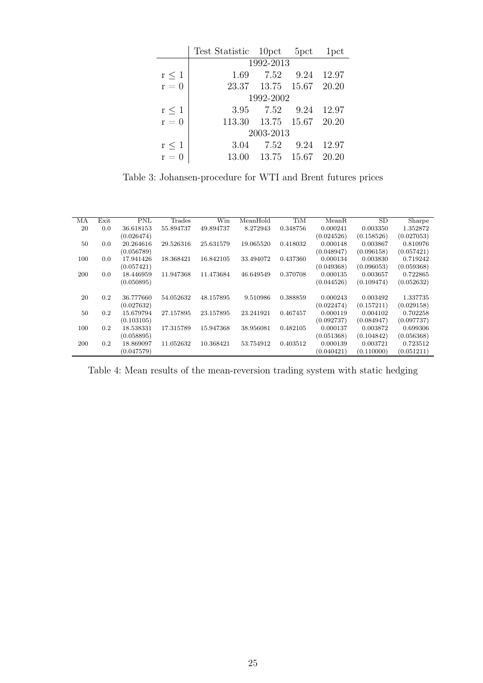|            | Test Statistic 10pct 5pct 1pct |                          |      |       |  |  |  |  |  |  |  |  |
|------------|--------------------------------|--------------------------|------|-------|--|--|--|--|--|--|--|--|
|            | 1992-2013                      |                          |      |       |  |  |  |  |  |  |  |  |
| $r \leq 1$ | 1.69                           | 7.52                     | 9.24 | 12.97 |  |  |  |  |  |  |  |  |
| $r = 0$    |                                | 23.37 13.75 15.67 20.20  |      |       |  |  |  |  |  |  |  |  |
|            |                                | 1992-2002                |      |       |  |  |  |  |  |  |  |  |
| $r \leq 1$ |                                | 3.95 7.52                | 9.24 | 12.97 |  |  |  |  |  |  |  |  |
| $r = 0$    |                                | 113.30 13.75 15.67 20.20 |      |       |  |  |  |  |  |  |  |  |
|            |                                | 2003-2013                |      |       |  |  |  |  |  |  |  |  |
| $r \leq 1$ | 3.04                           | 7.52                     | 9.24 | 12.97 |  |  |  |  |  |  |  |  |
| $r = 0$    |                                | 13.00 13.75 15.67 20.20  |      |       |  |  |  |  |  |  |  |  |

Table 3: Johansen-procedure for WTI and Brent futures prices

| МA  | $_{\rm{Exit}}$ | <b>PNL</b> | Trades    | Win       | MeanHold  | TiM      | MeanR      | SD         | Sharpe     |
|-----|----------------|------------|-----------|-----------|-----------|----------|------------|------------|------------|
| 20  | 0.0            | 36.618153  | 55.894737 | 49.894737 | 8.272943  | 0.348756 | 0.000241   | 0.003350   | 1.352872   |
|     |                | (0.026474) |           |           |           |          | (0.024526) | (0.158526) | (0.027053) |
| 50  | 0.0            | 20.264616  | 29.526316 | 25.631579 | 19.065520 | 0.418032 | 0.000148   | 0.003867   | 0.810976   |
|     |                | (0.056789) |           |           |           |          | (0.048947) | (0.096158) | (0.057421) |
| 100 | 0.0            | 17.941426  | 18.368421 | 16.842105 | 33.494072 | 0.437360 | 0.000134   | 0.003830   | 0.719242   |
|     |                | (0.057421) |           |           |           |          | (0.049368) | (0.096053) | (0.059368) |
| 200 | 0.0            | 18.446959  | 11.947368 | 11.473684 | 46.649549 | 0.370708 | 0.000135   | 0.003657   | 0.722865   |
|     |                | (0.050895) |           |           |           |          | (0.044526) | (0.109474) | (0.052632) |
|     |                |            |           |           |           |          |            |            |            |
| 20  | 0.2            | 36.777660  | 54.052632 | 48.157895 | 9.510986  | 0.388859 | 0.000243   | 0.003492   | 1.337735   |
|     |                | (0.027632) |           |           |           |          | (0.022474) | (0.157211) | (0.029158) |
| 50  | 0.2            | 15.679794  | 27.157895 | 23.157895 | 23.241921 | 0.467457 | 0.000119   | 0.004102   | 0.702258   |
|     |                | (0.103105) |           |           |           |          | (0.092737) | (0.084947) | (0.097737) |
| 100 | 0.2            | 18.538331  | 17.315789 | 15.947368 | 38.956081 | 0.482105 | 0.000137   | 0.003872   | 0.699306   |
|     |                | (0.058895) |           |           |           |          | (0.051368) | (0.104842) | (0.056368) |
| 200 | 0.2            | 18.869097  | 11.052632 | 10.368421 | 53.754912 | 0.403512 | 0.000139   | 0.003721   | 0.723512   |
|     |                | (0.047579) |           |           |           |          | (0.040421) | (0.110000) | (0.051211) |

Table 4: Mean results of the mean-reversion trading system with static hedging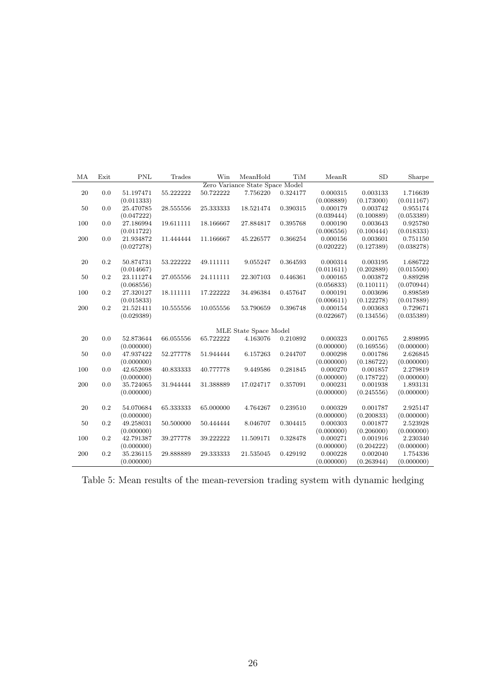| 0.0<br>20<br>55.222222<br>50.722222<br>7.756220<br>0.324177<br>0.000315<br>0.003133<br>1.716639<br>51.197471<br>(0.011333)<br>(0.008889)<br>(0.173000)<br>(0.011167)<br>0.0<br>25.333333<br>18.521474<br>0.390315<br>0.000179<br>0.955174<br>50<br>25.470785<br>28.555556<br>0.003742<br>(0.047222)<br>(0.039444)<br>(0.100889)<br>(0.053389)<br>0.0<br>19.611111<br>18.166667<br>0.395768<br>0.000190<br>100<br>27.186994<br>27.884817<br>0.003643<br>0.925780<br>(0.011722)<br>(0.006556)<br>(0.100444)<br>(0.018333)<br>0.0<br>200<br>21.934872<br>11.444444<br>11.166667<br>45.226577<br>0.366254<br>0.000156<br>0.003601<br>0.751150<br>(0.020222)<br>(0.027278)<br>(0.127389)<br>(0.038278)<br>0.2<br>20<br>50.874731<br>53.222222<br>49.111111<br>9.055247<br>0.364593<br>0.000314<br>0.003195<br>1.686722<br>(0.014667)<br>(0.011611)<br>(0.202889)<br>(0.015500)<br>0.2<br>24.111111<br>22.307103<br>0.446361<br>50<br>23.111274<br>27.055556<br>0.000165<br>0.003872<br>0.889298<br>(0.068556)<br>(0.056833)<br>(0.110111)<br>(0.070944)<br>0.2<br>27.320127<br>18.111111<br>17.222222<br>34.496384<br>0.457647<br>0.000191<br>0.003696<br>0.898589<br>100<br>(0.006611)<br>(0.122278)<br>(0.015833)<br>(0.017889)<br>200<br>0.2<br>10.555556<br>0.396748<br>21.521411<br>10.055556<br>53.790659<br>0.000154<br>0.003683<br>0.729671<br>(0.029389)<br>(0.022667)<br>(0.134556)<br>(0.035389)<br>MLE State Space Model<br>20<br>0.0<br>52.873644<br>66.055556<br>65.722222<br>4.163076<br>0.210892<br>0.000323<br>0.001765<br>2.898995<br>(0.000000)<br>(0.000000)<br>(0.169556)<br>(0.000000)<br>0.0<br>47.937422<br>6.157263<br>0.244707<br>0.000298<br>0.001786<br>2.626845<br>50<br>52.277778<br>51.944444<br>(0.000000)<br>(0.186722)<br>(0.000000)<br>(0.000000)<br>0.281845<br>100<br>0.0<br>42.652698<br>40.833333<br>40.777778<br>9.449586<br>0.000270<br>0.001857<br>2.279819<br>(0.000000)<br>(0.000000)<br>(0.178722)<br>(0.000000)<br>200<br>0.0<br>35.724065<br>17.024717<br>0.357091<br>0.000231<br>0.001938<br>1.893131<br>31.944444<br>31.388889<br>(0.000000)<br>(0.000000)<br>(0.245556)<br>(0.000000)<br>0.2<br>54.070684<br>65.333333<br>65.000000<br>4.764267<br>0.239510<br>0.000329<br>0.001787<br>20<br>2.925147<br>(0.000000)<br>(0.000000)<br>(0.200833)<br>(0.000000)<br>0.2<br>8.046707<br>0.000303<br>50<br>49.258031<br>50.500000<br>0.304415<br>0.001877<br>2.523928<br>50.444444 | MA                              | Exit | <b>PNL</b> | Trades | Win | MeanHold | TiM | MeanR      | <b>SD</b>  | Sharpe     |  |  |
|----------------------------------------------------------------------------------------------------------------------------------------------------------------------------------------------------------------------------------------------------------------------------------------------------------------------------------------------------------------------------------------------------------------------------------------------------------------------------------------------------------------------------------------------------------------------------------------------------------------------------------------------------------------------------------------------------------------------------------------------------------------------------------------------------------------------------------------------------------------------------------------------------------------------------------------------------------------------------------------------------------------------------------------------------------------------------------------------------------------------------------------------------------------------------------------------------------------------------------------------------------------------------------------------------------------------------------------------------------------------------------------------------------------------------------------------------------------------------------------------------------------------------------------------------------------------------------------------------------------------------------------------------------------------------------------------------------------------------------------------------------------------------------------------------------------------------------------------------------------------------------------------------------------------------------------------------------------------------------------------------------------------------------------------------------------------------------------------------------------------------------------------------------------------------------------------------------------------------------------------------------------------------------------------------------------------------------------------------------------------------------------------------------------------------|---------------------------------|------|------------|--------|-----|----------|-----|------------|------------|------------|--|--|
|                                                                                                                                                                                                                                                                                                                                                                                                                                                                                                                                                                                                                                                                                                                                                                                                                                                                                                                                                                                                                                                                                                                                                                                                                                                                                                                                                                                                                                                                                                                                                                                                                                                                                                                                                                                                                                                                                                                                                                                                                                                                                                                                                                                                                                                                                                                                                                                                                            | Zero Variance State Space Model |      |            |        |     |          |     |            |            |            |  |  |
|                                                                                                                                                                                                                                                                                                                                                                                                                                                                                                                                                                                                                                                                                                                                                                                                                                                                                                                                                                                                                                                                                                                                                                                                                                                                                                                                                                                                                                                                                                                                                                                                                                                                                                                                                                                                                                                                                                                                                                                                                                                                                                                                                                                                                                                                                                                                                                                                                            |                                 |      |            |        |     |          |     |            |            |            |  |  |
|                                                                                                                                                                                                                                                                                                                                                                                                                                                                                                                                                                                                                                                                                                                                                                                                                                                                                                                                                                                                                                                                                                                                                                                                                                                                                                                                                                                                                                                                                                                                                                                                                                                                                                                                                                                                                                                                                                                                                                                                                                                                                                                                                                                                                                                                                                                                                                                                                            |                                 |      |            |        |     |          |     |            |            |            |  |  |
|                                                                                                                                                                                                                                                                                                                                                                                                                                                                                                                                                                                                                                                                                                                                                                                                                                                                                                                                                                                                                                                                                                                                                                                                                                                                                                                                                                                                                                                                                                                                                                                                                                                                                                                                                                                                                                                                                                                                                                                                                                                                                                                                                                                                                                                                                                                                                                                                                            |                                 |      |            |        |     |          |     |            |            |            |  |  |
|                                                                                                                                                                                                                                                                                                                                                                                                                                                                                                                                                                                                                                                                                                                                                                                                                                                                                                                                                                                                                                                                                                                                                                                                                                                                                                                                                                                                                                                                                                                                                                                                                                                                                                                                                                                                                                                                                                                                                                                                                                                                                                                                                                                                                                                                                                                                                                                                                            |                                 |      |            |        |     |          |     |            |            |            |  |  |
|                                                                                                                                                                                                                                                                                                                                                                                                                                                                                                                                                                                                                                                                                                                                                                                                                                                                                                                                                                                                                                                                                                                                                                                                                                                                                                                                                                                                                                                                                                                                                                                                                                                                                                                                                                                                                                                                                                                                                                                                                                                                                                                                                                                                                                                                                                                                                                                                                            |                                 |      |            |        |     |          |     |            |            |            |  |  |
|                                                                                                                                                                                                                                                                                                                                                                                                                                                                                                                                                                                                                                                                                                                                                                                                                                                                                                                                                                                                                                                                                                                                                                                                                                                                                                                                                                                                                                                                                                                                                                                                                                                                                                                                                                                                                                                                                                                                                                                                                                                                                                                                                                                                                                                                                                                                                                                                                            |                                 |      |            |        |     |          |     |            |            |            |  |  |
|                                                                                                                                                                                                                                                                                                                                                                                                                                                                                                                                                                                                                                                                                                                                                                                                                                                                                                                                                                                                                                                                                                                                                                                                                                                                                                                                                                                                                                                                                                                                                                                                                                                                                                                                                                                                                                                                                                                                                                                                                                                                                                                                                                                                                                                                                                                                                                                                                            |                                 |      |            |        |     |          |     |            |            |            |  |  |
|                                                                                                                                                                                                                                                                                                                                                                                                                                                                                                                                                                                                                                                                                                                                                                                                                                                                                                                                                                                                                                                                                                                                                                                                                                                                                                                                                                                                                                                                                                                                                                                                                                                                                                                                                                                                                                                                                                                                                                                                                                                                                                                                                                                                                                                                                                                                                                                                                            |                                 |      |            |        |     |          |     |            |            |            |  |  |
|                                                                                                                                                                                                                                                                                                                                                                                                                                                                                                                                                                                                                                                                                                                                                                                                                                                                                                                                                                                                                                                                                                                                                                                                                                                                                                                                                                                                                                                                                                                                                                                                                                                                                                                                                                                                                                                                                                                                                                                                                                                                                                                                                                                                                                                                                                                                                                                                                            |                                 |      |            |        |     |          |     |            |            |            |  |  |
|                                                                                                                                                                                                                                                                                                                                                                                                                                                                                                                                                                                                                                                                                                                                                                                                                                                                                                                                                                                                                                                                                                                                                                                                                                                                                                                                                                                                                                                                                                                                                                                                                                                                                                                                                                                                                                                                                                                                                                                                                                                                                                                                                                                                                                                                                                                                                                                                                            |                                 |      |            |        |     |          |     |            |            |            |  |  |
|                                                                                                                                                                                                                                                                                                                                                                                                                                                                                                                                                                                                                                                                                                                                                                                                                                                                                                                                                                                                                                                                                                                                                                                                                                                                                                                                                                                                                                                                                                                                                                                                                                                                                                                                                                                                                                                                                                                                                                                                                                                                                                                                                                                                                                                                                                                                                                                                                            |                                 |      |            |        |     |          |     |            |            |            |  |  |
|                                                                                                                                                                                                                                                                                                                                                                                                                                                                                                                                                                                                                                                                                                                                                                                                                                                                                                                                                                                                                                                                                                                                                                                                                                                                                                                                                                                                                                                                                                                                                                                                                                                                                                                                                                                                                                                                                                                                                                                                                                                                                                                                                                                                                                                                                                                                                                                                                            |                                 |      |            |        |     |          |     |            |            |            |  |  |
|                                                                                                                                                                                                                                                                                                                                                                                                                                                                                                                                                                                                                                                                                                                                                                                                                                                                                                                                                                                                                                                                                                                                                                                                                                                                                                                                                                                                                                                                                                                                                                                                                                                                                                                                                                                                                                                                                                                                                                                                                                                                                                                                                                                                                                                                                                                                                                                                                            |                                 |      |            |        |     |          |     |            |            |            |  |  |
|                                                                                                                                                                                                                                                                                                                                                                                                                                                                                                                                                                                                                                                                                                                                                                                                                                                                                                                                                                                                                                                                                                                                                                                                                                                                                                                                                                                                                                                                                                                                                                                                                                                                                                                                                                                                                                                                                                                                                                                                                                                                                                                                                                                                                                                                                                                                                                                                                            |                                 |      |            |        |     |          |     |            |            |            |  |  |
|                                                                                                                                                                                                                                                                                                                                                                                                                                                                                                                                                                                                                                                                                                                                                                                                                                                                                                                                                                                                                                                                                                                                                                                                                                                                                                                                                                                                                                                                                                                                                                                                                                                                                                                                                                                                                                                                                                                                                                                                                                                                                                                                                                                                                                                                                                                                                                                                                            |                                 |      |            |        |     |          |     |            |            |            |  |  |
|                                                                                                                                                                                                                                                                                                                                                                                                                                                                                                                                                                                                                                                                                                                                                                                                                                                                                                                                                                                                                                                                                                                                                                                                                                                                                                                                                                                                                                                                                                                                                                                                                                                                                                                                                                                                                                                                                                                                                                                                                                                                                                                                                                                                                                                                                                                                                                                                                            |                                 |      |            |        |     |          |     |            |            |            |  |  |
|                                                                                                                                                                                                                                                                                                                                                                                                                                                                                                                                                                                                                                                                                                                                                                                                                                                                                                                                                                                                                                                                                                                                                                                                                                                                                                                                                                                                                                                                                                                                                                                                                                                                                                                                                                                                                                                                                                                                                                                                                                                                                                                                                                                                                                                                                                                                                                                                                            |                                 |      |            |        |     |          |     |            |            |            |  |  |
|                                                                                                                                                                                                                                                                                                                                                                                                                                                                                                                                                                                                                                                                                                                                                                                                                                                                                                                                                                                                                                                                                                                                                                                                                                                                                                                                                                                                                                                                                                                                                                                                                                                                                                                                                                                                                                                                                                                                                                                                                                                                                                                                                                                                                                                                                                                                                                                                                            |                                 |      |            |        |     |          |     |            |            |            |  |  |
|                                                                                                                                                                                                                                                                                                                                                                                                                                                                                                                                                                                                                                                                                                                                                                                                                                                                                                                                                                                                                                                                                                                                                                                                                                                                                                                                                                                                                                                                                                                                                                                                                                                                                                                                                                                                                                                                                                                                                                                                                                                                                                                                                                                                                                                                                                                                                                                                                            |                                 |      |            |        |     |          |     |            |            |            |  |  |
|                                                                                                                                                                                                                                                                                                                                                                                                                                                                                                                                                                                                                                                                                                                                                                                                                                                                                                                                                                                                                                                                                                                                                                                                                                                                                                                                                                                                                                                                                                                                                                                                                                                                                                                                                                                                                                                                                                                                                                                                                                                                                                                                                                                                                                                                                                                                                                                                                            |                                 |      |            |        |     |          |     |            |            |            |  |  |
|                                                                                                                                                                                                                                                                                                                                                                                                                                                                                                                                                                                                                                                                                                                                                                                                                                                                                                                                                                                                                                                                                                                                                                                                                                                                                                                                                                                                                                                                                                                                                                                                                                                                                                                                                                                                                                                                                                                                                                                                                                                                                                                                                                                                                                                                                                                                                                                                                            |                                 |      |            |        |     |          |     |            |            |            |  |  |
|                                                                                                                                                                                                                                                                                                                                                                                                                                                                                                                                                                                                                                                                                                                                                                                                                                                                                                                                                                                                                                                                                                                                                                                                                                                                                                                                                                                                                                                                                                                                                                                                                                                                                                                                                                                                                                                                                                                                                                                                                                                                                                                                                                                                                                                                                                                                                                                                                            |                                 |      |            |        |     |          |     |            |            |            |  |  |
|                                                                                                                                                                                                                                                                                                                                                                                                                                                                                                                                                                                                                                                                                                                                                                                                                                                                                                                                                                                                                                                                                                                                                                                                                                                                                                                                                                                                                                                                                                                                                                                                                                                                                                                                                                                                                                                                                                                                                                                                                                                                                                                                                                                                                                                                                                                                                                                                                            |                                 |      |            |        |     |          |     |            |            |            |  |  |
|                                                                                                                                                                                                                                                                                                                                                                                                                                                                                                                                                                                                                                                                                                                                                                                                                                                                                                                                                                                                                                                                                                                                                                                                                                                                                                                                                                                                                                                                                                                                                                                                                                                                                                                                                                                                                                                                                                                                                                                                                                                                                                                                                                                                                                                                                                                                                                                                                            |                                 |      |            |        |     |          |     |            |            |            |  |  |
|                                                                                                                                                                                                                                                                                                                                                                                                                                                                                                                                                                                                                                                                                                                                                                                                                                                                                                                                                                                                                                                                                                                                                                                                                                                                                                                                                                                                                                                                                                                                                                                                                                                                                                                                                                                                                                                                                                                                                                                                                                                                                                                                                                                                                                                                                                                                                                                                                            |                                 |      |            |        |     |          |     |            |            |            |  |  |
|                                                                                                                                                                                                                                                                                                                                                                                                                                                                                                                                                                                                                                                                                                                                                                                                                                                                                                                                                                                                                                                                                                                                                                                                                                                                                                                                                                                                                                                                                                                                                                                                                                                                                                                                                                                                                                                                                                                                                                                                                                                                                                                                                                                                                                                                                                                                                                                                                            |                                 |      |            |        |     |          |     |            |            |            |  |  |
|                                                                                                                                                                                                                                                                                                                                                                                                                                                                                                                                                                                                                                                                                                                                                                                                                                                                                                                                                                                                                                                                                                                                                                                                                                                                                                                                                                                                                                                                                                                                                                                                                                                                                                                                                                                                                                                                                                                                                                                                                                                                                                                                                                                                                                                                                                                                                                                                                            |                                 |      |            |        |     |          |     |            |            |            |  |  |
|                                                                                                                                                                                                                                                                                                                                                                                                                                                                                                                                                                                                                                                                                                                                                                                                                                                                                                                                                                                                                                                                                                                                                                                                                                                                                                                                                                                                                                                                                                                                                                                                                                                                                                                                                                                                                                                                                                                                                                                                                                                                                                                                                                                                                                                                                                                                                                                                                            |                                 |      |            |        |     |          |     |            |            |            |  |  |
|                                                                                                                                                                                                                                                                                                                                                                                                                                                                                                                                                                                                                                                                                                                                                                                                                                                                                                                                                                                                                                                                                                                                                                                                                                                                                                                                                                                                                                                                                                                                                                                                                                                                                                                                                                                                                                                                                                                                                                                                                                                                                                                                                                                                                                                                                                                                                                                                                            |                                 |      |            |        |     |          |     |            |            |            |  |  |
|                                                                                                                                                                                                                                                                                                                                                                                                                                                                                                                                                                                                                                                                                                                                                                                                                                                                                                                                                                                                                                                                                                                                                                                                                                                                                                                                                                                                                                                                                                                                                                                                                                                                                                                                                                                                                                                                                                                                                                                                                                                                                                                                                                                                                                                                                                                                                                                                                            |                                 |      |            |        |     |          |     |            |            |            |  |  |
|                                                                                                                                                                                                                                                                                                                                                                                                                                                                                                                                                                                                                                                                                                                                                                                                                                                                                                                                                                                                                                                                                                                                                                                                                                                                                                                                                                                                                                                                                                                                                                                                                                                                                                                                                                                                                                                                                                                                                                                                                                                                                                                                                                                                                                                                                                                                                                                                                            |                                 |      |            |        |     |          |     |            |            |            |  |  |
|                                                                                                                                                                                                                                                                                                                                                                                                                                                                                                                                                                                                                                                                                                                                                                                                                                                                                                                                                                                                                                                                                                                                                                                                                                                                                                                                                                                                                                                                                                                                                                                                                                                                                                                                                                                                                                                                                                                                                                                                                                                                                                                                                                                                                                                                                                                                                                                                                            |                                 |      | (0.000000) |        |     |          |     | (0.000000) | (0.206000) | (0.000000) |  |  |
| 0.2<br>42.791387<br>39.222222<br>11.509171<br>0.328478<br>0.000271<br>0.001916<br>2.230340<br>100<br>39.277778                                                                                                                                                                                                                                                                                                                                                                                                                                                                                                                                                                                                                                                                                                                                                                                                                                                                                                                                                                                                                                                                                                                                                                                                                                                                                                                                                                                                                                                                                                                                                                                                                                                                                                                                                                                                                                                                                                                                                                                                                                                                                                                                                                                                                                                                                                             |                                 |      |            |        |     |          |     |            |            |            |  |  |
| (0.000000)<br>(0.000000)<br>(0.204222)<br>(0.000000)                                                                                                                                                                                                                                                                                                                                                                                                                                                                                                                                                                                                                                                                                                                                                                                                                                                                                                                                                                                                                                                                                                                                                                                                                                                                                                                                                                                                                                                                                                                                                                                                                                                                                                                                                                                                                                                                                                                                                                                                                                                                                                                                                                                                                                                                                                                                                                       |                                 |      |            |        |     |          |     |            |            |            |  |  |
| 0.2<br>35.236115<br>21.535045<br>0.000228<br>200<br>29.888889<br>29.333333<br>0.429192<br>0.002040<br>1.754336                                                                                                                                                                                                                                                                                                                                                                                                                                                                                                                                                                                                                                                                                                                                                                                                                                                                                                                                                                                                                                                                                                                                                                                                                                                                                                                                                                                                                                                                                                                                                                                                                                                                                                                                                                                                                                                                                                                                                                                                                                                                                                                                                                                                                                                                                                             |                                 |      |            |        |     |          |     |            |            |            |  |  |
| (0.000000)<br>(0.000000)<br>(0.263944)<br>(0.000000)                                                                                                                                                                                                                                                                                                                                                                                                                                                                                                                                                                                                                                                                                                                                                                                                                                                                                                                                                                                                                                                                                                                                                                                                                                                                                                                                                                                                                                                                                                                                                                                                                                                                                                                                                                                                                                                                                                                                                                                                                                                                                                                                                                                                                                                                                                                                                                       |                                 |      |            |        |     |          |     |            |            |            |  |  |

Table 5: Mean results of the mean-reversion trading system with dynamic hedging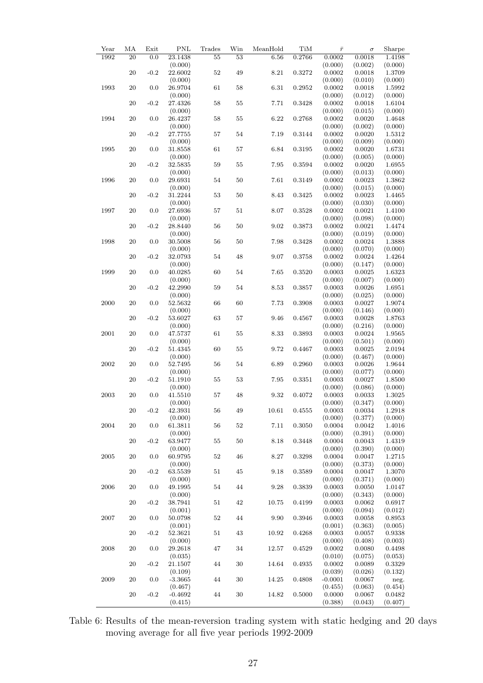| Year       | MA     | Exit   | <b>PNL</b> | Trades   | Win | MeanHold  | TiM    | $\bar{r}$ | $\sigma$ | Sharpe  |
|------------|--------|--------|------------|----------|-----|-----------|--------|-----------|----------|---------|
| 1992       | 20     | 0.0    | 23.1438    | 55       | 53  | 6.56      | 0.2766 | 0.0002    | 0.0018   | 1.4198  |
|            |        |        | (0.000)    |          |     |           |        | (0.000)   | (0.002)  | (0.000) |
|            | $20\,$ | $-0.2$ | 22.6002    | $52\,$   | 49  | 8.21      | 0.3272 | 0.0002    | 0.0018   | 1.3709  |
|            |        |        | (0.000)    |          |     |           |        | (0.000)   | (0.010)  | (0.000) |
| 1993       | 20     | 0.0    | 26.9704    | 61       | 58  | 6.31      | 0.2952 | 0.0002    | 0.0018   | 1.5992  |
|            |        |        | (0.000)    |          |     |           |        | (0.000)   | (0.012)  | (0.000) |
|            | 20     | $-0.2$ | 27.4326    | 58       | 55  | 7.71      | 0.3428 | 0.0002    | 0.0018   | 1.6104  |
|            |        |        | (0.000)    |          |     |           |        | (0.000)   | (0.015)  | (0.000) |
| 1994       | $20\,$ | 0.0    | 26.4237    | 58       | 55  | 6.22      | 0.2768 | 0.0002    | 0.0020   | 1.4648  |
|            |        |        | (0.000)    |          |     |           |        | (0.000)   | (0.002)  | (0.000) |
|            | 20     | $-0.2$ | 27.7755    | 57       | 54  | 7.19      | 0.3144 | 0.0002    | 0.0020   | 1.5312  |
|            |        |        | (0.000)    |          |     |           |        | (0.000)   | (0.009)  | (0.000) |
| 1995       | $20\,$ | 0.0    | 31.8558    | 61       | 57  | 6.84      | 0.3195 | 0.0002    | 0.0020   | 1.6731  |
|            |        |        | (0.000)    |          |     |           |        | (0.000)   | (0.005)  | (0.000) |
|            | $20\,$ | $-0.2$ | 32.5835    | 59       | 55  | 7.95      | 0.3594 | 0.0002    | 0.0020   | 1.6955  |
|            |        |        | (0.000)    |          |     |           |        | (0.000)   | (0.013)  | (0.000) |
| 1996       | $20\,$ | 0.0    | 29.6931    | 54       | 50  | $7.61\,$  | 0.3149 | 0.0002    | 0.0023   | 1.3862  |
|            |        |        | (0.000)    |          |     |           |        | (0.000)   | (0.015)  | (0.000) |
|            | $20\,$ | $-0.2$ | 31.2244    | $53\,$   | 50  | 8.43      | 0.3425 | 0.0002    | 0.0023   | 1.4465  |
|            |        |        | (0.000)    |          |     |           |        | (0.000)   | (0.030)  | (0.000) |
| 1997       | $20\,$ | 0.0    | 27.6936    | 57       | 51  | 8.07      | 0.3528 | 0.0002    | 0.0021   | 1.4100  |
|            |        |        | (0.000)    |          |     |           |        | (0.000)   | (0.098)  | (0.000) |
|            | $20\,$ | $-0.2$ | 28.8440    | 56       | 50  | 9.02      | 0.3873 | 0.0002    | 0.0021   | 1.4474  |
|            |        |        | (0.000)    |          |     |           |        | (0.000)   | (0.019)  | (0.000) |
| 1998       | $20\,$ | 0.0    | 30.5008    | 56       | 50  | 7.98      | 0.3428 | 0.0002    | 0.0024   | 1.3888  |
|            |        |        | (0.000)    |          |     |           |        | (0.000)   | (0.070)  | (0.000) |
|            |        |        |            |          |     |           |        |           |          |         |
|            | $20\,$ | $-0.2$ | 32.0793    | $54\,$   | 48  | 9.07      | 0.3758 | 0.0002    | 0.0024   | 1.4264  |
|            |        |        | (0.000)    |          |     |           |        | (0.000)   | (0.147)  | (0.000) |
| 1999       | $20\,$ | 0.0    | 40.0285    | 60       | 54  | 7.65      | 0.3520 | 0.0003    | 0.0025   | 1.6323  |
|            |        |        | (0.000)    |          |     |           |        | (0.000)   | (0.007)  | (0.000) |
|            | $20\,$ | $-0.2$ | 42.2990    | $\bf 59$ | 54  | 8.53      | 0.3857 | 0.0003    | 0.0026   | 1.6951  |
|            |        |        | (0.000)    |          |     |           |        | (0.000)   | (0.025)  | (0.000) |
| 2000       | $20\,$ | 0.0    | 52.5632    | 66       | 60  | 7.73      | 0.3908 | 0.0003    | 0.0027   | 1.9074  |
|            |        |        | (0.000)    |          |     |           |        | (0.000)   | (0.146)  | (0.000) |
|            | 20     | $-0.2$ | 53.6027    | $63\,$   | 57  | 9.46      | 0.4567 | 0.0003    | 0.0028   | 1.8763  |
|            |        |        | (0.000)    |          |     |           |        | (0.000)   | (0.216)  | (0.000) |
| 2001       | 20     | 0.0    | 47.5737    | 61       | 55  | 8.33      | 0.3893 | 0.0003    | 0.0024   | 1.9565  |
|            |        |        | (0.000)    |          |     |           |        | (0.000)   | (0.501)  | (0.000) |
|            | $20\,$ | $-0.2$ | 51.4345    | 60       | 55  | 9.72      | 0.4467 | 0.0003    | 0.0025   | 2.0194  |
|            |        |        | (0.000)    |          |     |           |        | (0.000)   | (0.467)  | (0.000) |
| $\,2002\,$ | $20\,$ | 0.0    | 52.7495    | 56       | 54  | 6.89      | 0.2960 | 0.0003    | 0.0026   | 1.9644  |
|            |        |        | (0.000)    |          |     |           |        | (0.000)   | (0.077)  | (0.000) |
|            | 20     | $-0.2$ | 51.1910    | 55       | 53  | 7.95      | 0.3351 | 0.0003    | 0.0027   | 1.8500  |
|            |        |        | (0.000)    |          |     |           |        | (0.000)   | (0.086)  | (0.000) |
| 2003       | $20\,$ | 0.0    | 41.5510    | $57\,$   | 48  | 9.32      | 0.4072 | 0.0003    | 0.0033   | 1.3025  |
|            |        |        | (0.000)    |          |     |           |        | (0.000)   | (0.347)  | (0.000) |
|            | $20\,$ | $-0.2$ | 42.3931    | $56\,$   | 49  | $10.61\,$ | 0.4555 | 0.0003    | 0.0034   | 1.2918  |
|            |        |        | (0.000)    |          |     |           |        | (0.000)   | (0.377)  | (0.000) |
| 2004       | $20\,$ | 0.0    | 61.3811    | 56       | 52  | 7.11      | 0.3050 | 0.0004    | 0.0042   | 1.4016  |
|            |        |        | (0.000)    |          |     |           |        | (0.000)   | (0.391)  | (0.000) |
|            | $20\,$ | $-0.2$ | 63.9477    | 55       | 50  | 8.18      | 0.3448 | 0.0004    | 0.0043   | 1.4319  |
|            |        |        | (0.000)    |          |     |           |        | (0.000)   | (0.390)  | (0.000) |
| 2005       | 20     | 0.0    | 60.9795    | 52       | 46  | 8.27      | 0.3298 | 0.0004    | 0.0047   | 1.2715  |
|            |        |        | (0.000)    |          |     |           |        | (0.000)   | (0.373)  | (0.000) |
|            | 20     | $-0.2$ | 63.5539    | 51       | 45  | 9.18      | 0.3589 | 0.0004    | 0.0047   | 1.3070  |
|            |        |        | (0.000)    |          |     |           |        | (0.000)   | (0.371)  | (0.000) |
| 2006       | 20     | 0.0    | 49.1995    | 54       | 44  | 9.28      | 0.3839 | 0.0003    | 0.0050   | 1.0147  |
|            |        |        | (0.000)    |          |     |           |        | (0.000)   | (0.343)  | (0.000) |
|            | 20     | $-0.2$ | 38.7941    | 51       | 42  | 10.75     | 0.4199 | 0.0003    | 0.0062   | 0.6917  |
|            |        |        | (0.001)    |          |     |           |        | (0.000)   | (0.094)  | (0.012) |
| 2007       | 20     | 0.0    | 50.0798    | 52       | 44  | 9.90      | 0.3946 | 0.0003    | 0.0058   | 0.8953  |
|            |        |        |            |          |     |           |        |           |          |         |
|            |        |        | (0.001)    |          |     |           |        | (0.001)   | (0.363)  | (0.005) |
|            | 20     | $-0.2$ | 52.3621    | 51       | 43  | 10.92     | 0.4268 | 0.0003    | 0.0057   | 0.9338  |
|            |        |        | (0.000)    |          |     |           |        | (0.000)   | (0.408)  | (0.003) |
| 2008       | 20     | 0.0    | 29.2618    | 47       | 34  | 12.57     | 0.4529 | 0.0002    | 0.0080   | 0.4498  |
|            |        |        | (0.035)    |          |     |           |        | (0.010)   | (0.075)  | (0.053) |
|            | 20     | $-0.2$ | 21.1507    | 44       | 30  | 14.64     | 0.4935 | 0.0002    | 0.0089   | 0.3329  |
|            |        |        | (0.109)    |          |     |           |        | (0.039)   | (0.026)  | (0.132) |
| 2009       | 20     | 0.0    | $-3.3665$  | 44       | 30  | 14.25     | 0.4808 | $-0.0001$ | 0.0067   | neg.    |
|            |        |        | (0.467)    |          |     |           |        | (0.455)   | (0.063)  | (0.454) |
|            | 20     | $-0.2$ | $-0.4692$  | 44       | 30  | 14.82     | 0.5000 | 0.0000    | 0.0067   | 0.0482  |
|            |        |        | (0.415)    |          |     |           |        | (0.388)   | (0.043)  | (0.407) |

Table 6: Results of the mean-reversion trading system with static hedging and 20 days moving average for all five year periods 1992-2009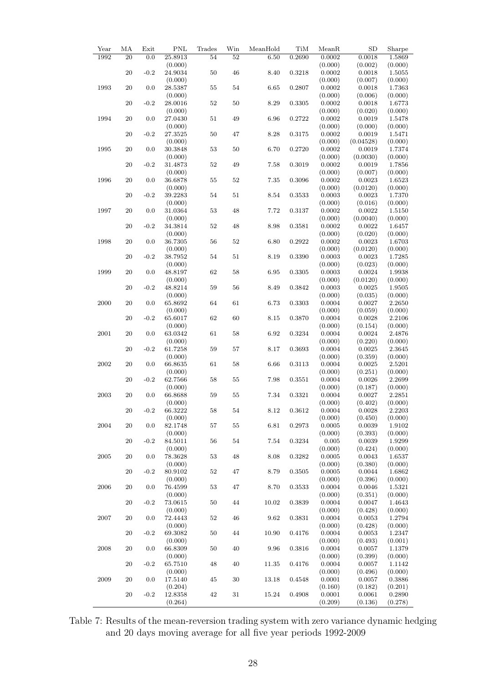| 0.0<br>54<br>(0.000)<br>(0.000)<br>(0.000)<br>(0.002)<br>$50\,$<br>0.3218<br>0.0002<br>0.0018<br>1.5055<br>20<br>$-0.2$<br>24.9034<br>46<br>8.40<br>(0.000)<br>(0.000)<br>(0.007)<br>(0.000)<br>1993<br>0.0<br>54<br>0.2807<br>0.0002<br>0.0018<br>1.7363<br>20<br>28.5387<br>55<br>6.65<br>(0.000)<br>(0.006)<br>(0.000)<br>(0.000)<br>$-0.2$<br>$50\,$<br>0.3305<br>0.0002<br>0.0018<br>20<br>28.0016<br>52<br>8.29<br>1.6773<br>(0.000)<br>(0.000)<br>(0.000)<br>(0.020)<br>1994<br>49<br>0.2722<br>1.5478<br>20<br>0.0<br>27.0430<br>51<br>6.96<br>0.0002<br>0.0019<br>(0.000)<br>(0.000)<br>(0.000)<br>(0.000)<br>$-0.2$<br>27.3525<br>47<br>0.0002<br>0.0019<br>1.5471<br>20<br>50<br>8.28<br>0.3175<br>(0.000)<br>(0.000)<br>(0.04528)<br>(0.000)<br>1995<br>53<br>$50\,$<br>20<br>0.0<br>30.3848<br>6.70<br>0.2720<br>0.0002<br>0.0019<br>1.7374<br>(0.000)<br>(0.000)<br>(0.0030)<br>(0.000)<br>$20\,$<br>$-0.2$<br>52<br>49<br>0.3019<br>0.0002<br>0.0019<br>1.7856<br>31.4873<br>7.58<br>(0.000)<br>(0.007)<br>(0.000)<br>(0.000)<br>0.0<br>$52\,$<br>1996<br>20<br>36.6878<br>55<br>7.35<br>0.3096<br>0.0002<br>0.0023<br>1.6523<br>(0.000)<br>(0.0120)<br>(0.000)<br>(0.000)<br>$-0.2$<br>$51\,$<br>0.3533<br>0.0003<br>1.7370<br>20<br>39.2283<br>54<br>8.54<br>0.0023<br>(0.000)<br>(0.000)<br>(0.016)<br>(0.000)<br>0.0<br>48<br>0.3137<br>0.0002<br>0.0022<br>1.5150<br>1997<br>20<br>31.0364<br>53<br>7.72<br>(0.000)<br>(0.000)<br>(0.0040)<br>(0.000)<br>20<br>$-0.2$<br>34.3814<br>52<br>48<br>8.98<br>0.3581<br>0.0002<br>0.0022<br>1.6457<br>(0.000)<br>(0.000)<br>(0.020)<br>(0.000)<br>1998<br>0.0<br>52<br>0.2922<br>20<br>36.7305<br>56<br>6.80<br>0.0002<br>0.0023<br>1.6703<br>(0.000)<br>(0.000)<br>(0.0120)<br>(0.000)<br>$20\,$<br>0.0003<br>0.0023<br>1.7285<br>$-0.2$<br>38.7952<br>54<br>51<br>8.19<br>0.3390<br>(0.000)<br>(0.023)<br>(0.000)<br>(0.000)<br>0.0<br>62<br>58<br>1.9938<br>1999<br>20<br>48.8197<br>6.95<br>0.3305<br>0.0003<br>0.0024<br>(0.000)<br>(0.0120)<br>(0.000)<br>(0.000)<br>$20\,$<br>$-0.2$<br>59<br>56<br>0.3842<br>0.0003<br>1.9505<br>48.8214<br>8.49<br>0.0025<br>(0.000)<br>(0.000)<br>(0.035)<br>(0.000)<br>0.3303<br>0.0004<br>2000<br>20<br>0.0<br>65.8692<br>64<br>61<br>6.73<br>0.0027<br>2.2650<br>(0.000)<br>(0.000)<br>(0.059)<br>(0.000)<br>$-0.2$<br>60<br>20<br>65.6017<br>62<br>0.3870<br>0.0004<br>0.0028<br>2.2106<br>8.15<br>(0.000)<br>(0.000)<br>(0.154)<br>(0.000)<br>2001<br>58<br>0.0004<br>20<br>0.0<br>63.0342<br>61<br>6.92<br>0.3234<br>0.0024<br>2.4876<br>(0.000)<br>(0.000)<br>(0.220)<br>(0.000)<br>0.0004<br>0.0025<br>2.3645<br>20<br>$-0.2$<br>61.7258<br>59<br>57<br>8.17<br>0.3693<br>(0.000)<br>(0.000)<br>(0.359)<br>(0.000)<br>2002<br>0.0<br>0.3113<br>0.0004<br>2.5201<br>20<br>66.8635<br>61<br>58<br>6.66<br>0.0025<br>(0.000)<br>(0.000)<br>(0.000)<br>(0.251)<br>$-0.2$<br>0.0004<br>2.2699<br>20<br>62.7566<br>58<br>55<br>7.98<br>0.3551<br>0.0026<br>(0.000)<br>(0.187)<br>(0.000)<br>(0.000)<br>0.0<br>0.3321<br>0.0004<br>2003<br>20<br>66.8688<br>59<br>55<br>7.34<br>0.0027<br>2.2851<br>(0.000)<br>(0.000)<br>(0.402)<br>(0.000)<br>54<br>8.12<br>0.3612<br>20<br>58<br>$-0.2$<br>66.3222<br>0.0004<br>0.0028<br>2.2203<br>(0.000)<br>(0.000)<br>(0.450)<br>(0.000)<br>0.0005<br>1.9102<br>2004<br>20<br>0.0<br>82.1748<br>57<br>55<br>6.81<br>0.2973<br>0.0039<br>(0.000)<br>(0.000)<br>(0.393)<br>(0.000)<br>54<br>20<br>$-0.2$<br>84.5011<br>56<br>7.54<br>0.3234<br>0.005<br>0.0039<br>1.9299<br>(0.000)<br>(0.000)<br>(0.424)<br>(0.000)<br>2005<br>0.0005<br>0.0043<br>20<br>0.0<br>78.3628<br>53<br>48<br>8.08<br>0.3282<br>1.6537<br>(0.000)<br>(0.000)<br>(0.000)<br>(0.380)<br>1.6862<br>20<br>$-0.2$<br>80.9102<br>52<br>47<br>8.79<br>0.3505<br>0.0005<br>0.0044<br>(0.000)<br>(0.396)<br>(0.000)<br>(0.000)<br>2006<br>0.0<br>0.3533<br>1.5321<br>20<br>76.4599<br>53<br>47<br>8.70<br>0.0004<br>0.0046<br>(0.000)<br>(0.351)<br>(0.000)<br>(0.000)<br>0.0004<br>0.0047<br>20<br>$-0.2$<br>73.0615<br>50<br>44<br>10.02<br>0.3839<br>1.4643<br>(0.000)<br>(0.000)<br>(0.428)<br>(0.000)<br>2007<br>0.0<br>52<br>46<br>9.62<br>0.3831<br>0.0004<br>0.0053<br>20<br>72.4443<br>1.2794<br>(0.000)<br>(0.000)<br>(0.000)<br>(0.428)<br>20<br>$-0.2$<br>69.3082<br>50<br>44<br>10.90<br>0.4176<br>0.0004<br>0.0053<br>1.2347<br>(0.000)<br>(0.000)<br>(0.001)<br>(0.493)<br>40<br>0.0004<br>2008<br>20<br>0.0<br>66.8309<br>50<br>9.96<br>0.3816<br>0.0057<br>1.1379<br>(0.000)<br>(0.000)<br>(0.399)<br>(0.000)<br>20<br>$-0.2$<br>65.7510<br>48<br>40<br>11.35<br>0.4176<br>0.0004<br>0.0057<br>1.1142<br>(0.000)<br>(0.000)<br>(0.000)<br>(0.496)<br>30<br>2009<br>20<br>0.0<br>17.5140<br>45<br>13.18<br>0.4548<br>0.0001<br>0.0057<br>0.3886<br>(0.182)<br>(0.201)<br>(0.204)<br>(0.160)<br>0.4908<br>0.0001<br>20<br>$-0.2$<br>12.8358<br>42<br>31<br>15.24<br>0.0061<br>0.2890<br>(0.264)<br>(0.209)<br>(0.136)<br>(0.278) | Year | $\rm MA$        | Exit | PNL     | Trades | Win             | MeanHold | TiM    | MeanR  | <b>SD</b> | Sharpe |
|----------------------------------------------------------------------------------------------------------------------------------------------------------------------------------------------------------------------------------------------------------------------------------------------------------------------------------------------------------------------------------------------------------------------------------------------------------------------------------------------------------------------------------------------------------------------------------------------------------------------------------------------------------------------------------------------------------------------------------------------------------------------------------------------------------------------------------------------------------------------------------------------------------------------------------------------------------------------------------------------------------------------------------------------------------------------------------------------------------------------------------------------------------------------------------------------------------------------------------------------------------------------------------------------------------------------------------------------------------------------------------------------------------------------------------------------------------------------------------------------------------------------------------------------------------------------------------------------------------------------------------------------------------------------------------------------------------------------------------------------------------------------------------------------------------------------------------------------------------------------------------------------------------------------------------------------------------------------------------------------------------------------------------------------------------------------------------------------------------------------------------------------------------------------------------------------------------------------------------------------------------------------------------------------------------------------------------------------------------------------------------------------------------------------------------------------------------------------------------------------------------------------------------------------------------------------------------------------------------------------------------------------------------------------------------------------------------------------------------------------------------------------------------------------------------------------------------------------------------------------------------------------------------------------------------------------------------------------------------------------------------------------------------------------------------------------------------------------------------------------------------------------------------------------------------------------------------------------------------------------------------------------------------------------------------------------------------------------------------------------------------------------------------------------------------------------------------------------------------------------------------------------------------------------------------------------------------------------------------------------------------------------------------------------------------------------------------------------------------------------------------------------------------------------------------------------------------------------------------------------------------------------------------------------------------------------------------------------------------------------------------------------------------------------------------------------------------------------------------------------------------------------------------------------------------------------------------------------------------------------------------------------------------------------------------------------------------------------------------------------------------------------------------------------------------------------------------------------------------------------------------------------------------------------------------------------------------------------------------------------------------------------------------------------------------------------------------------------------------------------------------------------------------------------------------------------------------------------------------------------------------------------------------------------------------------------------------------|------|-----------------|------|---------|--------|-----------------|----------|--------|--------|-----------|--------|
|                                                                                                                                                                                                                                                                                                                                                                                                                                                                                                                                                                                                                                                                                                                                                                                                                                                                                                                                                                                                                                                                                                                                                                                                                                                                                                                                                                                                                                                                                                                                                                                                                                                                                                                                                                                                                                                                                                                                                                                                                                                                                                                                                                                                                                                                                                                                                                                                                                                                                                                                                                                                                                                                                                                                                                                                                                                                                                                                                                                                                                                                                                                                                                                                                                                                                                                                                                                                                                                                                                                                                                                                                                                                                                                                                                                                                                                                                                                                                                                                                                                                                                                                                                                                                                                                                                                                                                                                                                                                                                                                                                                                                                                                                                                                                                                                                                                                                                                                                                | 1992 | $\overline{20}$ |      | 25.8913 |        | $\overline{52}$ | 6.50     | 0.2690 | 0.0002 | 0.0018    | 1.5869 |
|                                                                                                                                                                                                                                                                                                                                                                                                                                                                                                                                                                                                                                                                                                                                                                                                                                                                                                                                                                                                                                                                                                                                                                                                                                                                                                                                                                                                                                                                                                                                                                                                                                                                                                                                                                                                                                                                                                                                                                                                                                                                                                                                                                                                                                                                                                                                                                                                                                                                                                                                                                                                                                                                                                                                                                                                                                                                                                                                                                                                                                                                                                                                                                                                                                                                                                                                                                                                                                                                                                                                                                                                                                                                                                                                                                                                                                                                                                                                                                                                                                                                                                                                                                                                                                                                                                                                                                                                                                                                                                                                                                                                                                                                                                                                                                                                                                                                                                                                                                |      |                 |      |         |        |                 |          |        |        |           |        |
|                                                                                                                                                                                                                                                                                                                                                                                                                                                                                                                                                                                                                                                                                                                                                                                                                                                                                                                                                                                                                                                                                                                                                                                                                                                                                                                                                                                                                                                                                                                                                                                                                                                                                                                                                                                                                                                                                                                                                                                                                                                                                                                                                                                                                                                                                                                                                                                                                                                                                                                                                                                                                                                                                                                                                                                                                                                                                                                                                                                                                                                                                                                                                                                                                                                                                                                                                                                                                                                                                                                                                                                                                                                                                                                                                                                                                                                                                                                                                                                                                                                                                                                                                                                                                                                                                                                                                                                                                                                                                                                                                                                                                                                                                                                                                                                                                                                                                                                                                                |      |                 |      |         |        |                 |          |        |        |           |        |
|                                                                                                                                                                                                                                                                                                                                                                                                                                                                                                                                                                                                                                                                                                                                                                                                                                                                                                                                                                                                                                                                                                                                                                                                                                                                                                                                                                                                                                                                                                                                                                                                                                                                                                                                                                                                                                                                                                                                                                                                                                                                                                                                                                                                                                                                                                                                                                                                                                                                                                                                                                                                                                                                                                                                                                                                                                                                                                                                                                                                                                                                                                                                                                                                                                                                                                                                                                                                                                                                                                                                                                                                                                                                                                                                                                                                                                                                                                                                                                                                                                                                                                                                                                                                                                                                                                                                                                                                                                                                                                                                                                                                                                                                                                                                                                                                                                                                                                                                                                |      |                 |      |         |        |                 |          |        |        |           |        |
|                                                                                                                                                                                                                                                                                                                                                                                                                                                                                                                                                                                                                                                                                                                                                                                                                                                                                                                                                                                                                                                                                                                                                                                                                                                                                                                                                                                                                                                                                                                                                                                                                                                                                                                                                                                                                                                                                                                                                                                                                                                                                                                                                                                                                                                                                                                                                                                                                                                                                                                                                                                                                                                                                                                                                                                                                                                                                                                                                                                                                                                                                                                                                                                                                                                                                                                                                                                                                                                                                                                                                                                                                                                                                                                                                                                                                                                                                                                                                                                                                                                                                                                                                                                                                                                                                                                                                                                                                                                                                                                                                                                                                                                                                                                                                                                                                                                                                                                                                                |      |                 |      |         |        |                 |          |        |        |           |        |
|                                                                                                                                                                                                                                                                                                                                                                                                                                                                                                                                                                                                                                                                                                                                                                                                                                                                                                                                                                                                                                                                                                                                                                                                                                                                                                                                                                                                                                                                                                                                                                                                                                                                                                                                                                                                                                                                                                                                                                                                                                                                                                                                                                                                                                                                                                                                                                                                                                                                                                                                                                                                                                                                                                                                                                                                                                                                                                                                                                                                                                                                                                                                                                                                                                                                                                                                                                                                                                                                                                                                                                                                                                                                                                                                                                                                                                                                                                                                                                                                                                                                                                                                                                                                                                                                                                                                                                                                                                                                                                                                                                                                                                                                                                                                                                                                                                                                                                                                                                |      |                 |      |         |        |                 |          |        |        |           |        |
|                                                                                                                                                                                                                                                                                                                                                                                                                                                                                                                                                                                                                                                                                                                                                                                                                                                                                                                                                                                                                                                                                                                                                                                                                                                                                                                                                                                                                                                                                                                                                                                                                                                                                                                                                                                                                                                                                                                                                                                                                                                                                                                                                                                                                                                                                                                                                                                                                                                                                                                                                                                                                                                                                                                                                                                                                                                                                                                                                                                                                                                                                                                                                                                                                                                                                                                                                                                                                                                                                                                                                                                                                                                                                                                                                                                                                                                                                                                                                                                                                                                                                                                                                                                                                                                                                                                                                                                                                                                                                                                                                                                                                                                                                                                                                                                                                                                                                                                                                                |      |                 |      |         |        |                 |          |        |        |           |        |
|                                                                                                                                                                                                                                                                                                                                                                                                                                                                                                                                                                                                                                                                                                                                                                                                                                                                                                                                                                                                                                                                                                                                                                                                                                                                                                                                                                                                                                                                                                                                                                                                                                                                                                                                                                                                                                                                                                                                                                                                                                                                                                                                                                                                                                                                                                                                                                                                                                                                                                                                                                                                                                                                                                                                                                                                                                                                                                                                                                                                                                                                                                                                                                                                                                                                                                                                                                                                                                                                                                                                                                                                                                                                                                                                                                                                                                                                                                                                                                                                                                                                                                                                                                                                                                                                                                                                                                                                                                                                                                                                                                                                                                                                                                                                                                                                                                                                                                                                                                |      |                 |      |         |        |                 |          |        |        |           |        |
|                                                                                                                                                                                                                                                                                                                                                                                                                                                                                                                                                                                                                                                                                                                                                                                                                                                                                                                                                                                                                                                                                                                                                                                                                                                                                                                                                                                                                                                                                                                                                                                                                                                                                                                                                                                                                                                                                                                                                                                                                                                                                                                                                                                                                                                                                                                                                                                                                                                                                                                                                                                                                                                                                                                                                                                                                                                                                                                                                                                                                                                                                                                                                                                                                                                                                                                                                                                                                                                                                                                                                                                                                                                                                                                                                                                                                                                                                                                                                                                                                                                                                                                                                                                                                                                                                                                                                                                                                                                                                                                                                                                                                                                                                                                                                                                                                                                                                                                                                                |      |                 |      |         |        |                 |          |        |        |           |        |
|                                                                                                                                                                                                                                                                                                                                                                                                                                                                                                                                                                                                                                                                                                                                                                                                                                                                                                                                                                                                                                                                                                                                                                                                                                                                                                                                                                                                                                                                                                                                                                                                                                                                                                                                                                                                                                                                                                                                                                                                                                                                                                                                                                                                                                                                                                                                                                                                                                                                                                                                                                                                                                                                                                                                                                                                                                                                                                                                                                                                                                                                                                                                                                                                                                                                                                                                                                                                                                                                                                                                                                                                                                                                                                                                                                                                                                                                                                                                                                                                                                                                                                                                                                                                                                                                                                                                                                                                                                                                                                                                                                                                                                                                                                                                                                                                                                                                                                                                                                |      |                 |      |         |        |                 |          |        |        |           |        |
|                                                                                                                                                                                                                                                                                                                                                                                                                                                                                                                                                                                                                                                                                                                                                                                                                                                                                                                                                                                                                                                                                                                                                                                                                                                                                                                                                                                                                                                                                                                                                                                                                                                                                                                                                                                                                                                                                                                                                                                                                                                                                                                                                                                                                                                                                                                                                                                                                                                                                                                                                                                                                                                                                                                                                                                                                                                                                                                                                                                                                                                                                                                                                                                                                                                                                                                                                                                                                                                                                                                                                                                                                                                                                                                                                                                                                                                                                                                                                                                                                                                                                                                                                                                                                                                                                                                                                                                                                                                                                                                                                                                                                                                                                                                                                                                                                                                                                                                                                                |      |                 |      |         |        |                 |          |        |        |           |        |
|                                                                                                                                                                                                                                                                                                                                                                                                                                                                                                                                                                                                                                                                                                                                                                                                                                                                                                                                                                                                                                                                                                                                                                                                                                                                                                                                                                                                                                                                                                                                                                                                                                                                                                                                                                                                                                                                                                                                                                                                                                                                                                                                                                                                                                                                                                                                                                                                                                                                                                                                                                                                                                                                                                                                                                                                                                                                                                                                                                                                                                                                                                                                                                                                                                                                                                                                                                                                                                                                                                                                                                                                                                                                                                                                                                                                                                                                                                                                                                                                                                                                                                                                                                                                                                                                                                                                                                                                                                                                                                                                                                                                                                                                                                                                                                                                                                                                                                                                                                |      |                 |      |         |        |                 |          |        |        |           |        |
|                                                                                                                                                                                                                                                                                                                                                                                                                                                                                                                                                                                                                                                                                                                                                                                                                                                                                                                                                                                                                                                                                                                                                                                                                                                                                                                                                                                                                                                                                                                                                                                                                                                                                                                                                                                                                                                                                                                                                                                                                                                                                                                                                                                                                                                                                                                                                                                                                                                                                                                                                                                                                                                                                                                                                                                                                                                                                                                                                                                                                                                                                                                                                                                                                                                                                                                                                                                                                                                                                                                                                                                                                                                                                                                                                                                                                                                                                                                                                                                                                                                                                                                                                                                                                                                                                                                                                                                                                                                                                                                                                                                                                                                                                                                                                                                                                                                                                                                                                                |      |                 |      |         |        |                 |          |        |        |           |        |
|                                                                                                                                                                                                                                                                                                                                                                                                                                                                                                                                                                                                                                                                                                                                                                                                                                                                                                                                                                                                                                                                                                                                                                                                                                                                                                                                                                                                                                                                                                                                                                                                                                                                                                                                                                                                                                                                                                                                                                                                                                                                                                                                                                                                                                                                                                                                                                                                                                                                                                                                                                                                                                                                                                                                                                                                                                                                                                                                                                                                                                                                                                                                                                                                                                                                                                                                                                                                                                                                                                                                                                                                                                                                                                                                                                                                                                                                                                                                                                                                                                                                                                                                                                                                                                                                                                                                                                                                                                                                                                                                                                                                                                                                                                                                                                                                                                                                                                                                                                |      |                 |      |         |        |                 |          |        |        |           |        |
|                                                                                                                                                                                                                                                                                                                                                                                                                                                                                                                                                                                                                                                                                                                                                                                                                                                                                                                                                                                                                                                                                                                                                                                                                                                                                                                                                                                                                                                                                                                                                                                                                                                                                                                                                                                                                                                                                                                                                                                                                                                                                                                                                                                                                                                                                                                                                                                                                                                                                                                                                                                                                                                                                                                                                                                                                                                                                                                                                                                                                                                                                                                                                                                                                                                                                                                                                                                                                                                                                                                                                                                                                                                                                                                                                                                                                                                                                                                                                                                                                                                                                                                                                                                                                                                                                                                                                                                                                                                                                                                                                                                                                                                                                                                                                                                                                                                                                                                                                                |      |                 |      |         |        |                 |          |        |        |           |        |
|                                                                                                                                                                                                                                                                                                                                                                                                                                                                                                                                                                                                                                                                                                                                                                                                                                                                                                                                                                                                                                                                                                                                                                                                                                                                                                                                                                                                                                                                                                                                                                                                                                                                                                                                                                                                                                                                                                                                                                                                                                                                                                                                                                                                                                                                                                                                                                                                                                                                                                                                                                                                                                                                                                                                                                                                                                                                                                                                                                                                                                                                                                                                                                                                                                                                                                                                                                                                                                                                                                                                                                                                                                                                                                                                                                                                                                                                                                                                                                                                                                                                                                                                                                                                                                                                                                                                                                                                                                                                                                                                                                                                                                                                                                                                                                                                                                                                                                                                                                |      |                 |      |         |        |                 |          |        |        |           |        |
|                                                                                                                                                                                                                                                                                                                                                                                                                                                                                                                                                                                                                                                                                                                                                                                                                                                                                                                                                                                                                                                                                                                                                                                                                                                                                                                                                                                                                                                                                                                                                                                                                                                                                                                                                                                                                                                                                                                                                                                                                                                                                                                                                                                                                                                                                                                                                                                                                                                                                                                                                                                                                                                                                                                                                                                                                                                                                                                                                                                                                                                                                                                                                                                                                                                                                                                                                                                                                                                                                                                                                                                                                                                                                                                                                                                                                                                                                                                                                                                                                                                                                                                                                                                                                                                                                                                                                                                                                                                                                                                                                                                                                                                                                                                                                                                                                                                                                                                                                                |      |                 |      |         |        |                 |          |        |        |           |        |
|                                                                                                                                                                                                                                                                                                                                                                                                                                                                                                                                                                                                                                                                                                                                                                                                                                                                                                                                                                                                                                                                                                                                                                                                                                                                                                                                                                                                                                                                                                                                                                                                                                                                                                                                                                                                                                                                                                                                                                                                                                                                                                                                                                                                                                                                                                                                                                                                                                                                                                                                                                                                                                                                                                                                                                                                                                                                                                                                                                                                                                                                                                                                                                                                                                                                                                                                                                                                                                                                                                                                                                                                                                                                                                                                                                                                                                                                                                                                                                                                                                                                                                                                                                                                                                                                                                                                                                                                                                                                                                                                                                                                                                                                                                                                                                                                                                                                                                                                                                |      |                 |      |         |        |                 |          |        |        |           |        |
|                                                                                                                                                                                                                                                                                                                                                                                                                                                                                                                                                                                                                                                                                                                                                                                                                                                                                                                                                                                                                                                                                                                                                                                                                                                                                                                                                                                                                                                                                                                                                                                                                                                                                                                                                                                                                                                                                                                                                                                                                                                                                                                                                                                                                                                                                                                                                                                                                                                                                                                                                                                                                                                                                                                                                                                                                                                                                                                                                                                                                                                                                                                                                                                                                                                                                                                                                                                                                                                                                                                                                                                                                                                                                                                                                                                                                                                                                                                                                                                                                                                                                                                                                                                                                                                                                                                                                                                                                                                                                                                                                                                                                                                                                                                                                                                                                                                                                                                                                                |      |                 |      |         |        |                 |          |        |        |           |        |
|                                                                                                                                                                                                                                                                                                                                                                                                                                                                                                                                                                                                                                                                                                                                                                                                                                                                                                                                                                                                                                                                                                                                                                                                                                                                                                                                                                                                                                                                                                                                                                                                                                                                                                                                                                                                                                                                                                                                                                                                                                                                                                                                                                                                                                                                                                                                                                                                                                                                                                                                                                                                                                                                                                                                                                                                                                                                                                                                                                                                                                                                                                                                                                                                                                                                                                                                                                                                                                                                                                                                                                                                                                                                                                                                                                                                                                                                                                                                                                                                                                                                                                                                                                                                                                                                                                                                                                                                                                                                                                                                                                                                                                                                                                                                                                                                                                                                                                                                                                |      |                 |      |         |        |                 |          |        |        |           |        |
|                                                                                                                                                                                                                                                                                                                                                                                                                                                                                                                                                                                                                                                                                                                                                                                                                                                                                                                                                                                                                                                                                                                                                                                                                                                                                                                                                                                                                                                                                                                                                                                                                                                                                                                                                                                                                                                                                                                                                                                                                                                                                                                                                                                                                                                                                                                                                                                                                                                                                                                                                                                                                                                                                                                                                                                                                                                                                                                                                                                                                                                                                                                                                                                                                                                                                                                                                                                                                                                                                                                                                                                                                                                                                                                                                                                                                                                                                                                                                                                                                                                                                                                                                                                                                                                                                                                                                                                                                                                                                                                                                                                                                                                                                                                                                                                                                                                                                                                                                                |      |                 |      |         |        |                 |          |        |        |           |        |
|                                                                                                                                                                                                                                                                                                                                                                                                                                                                                                                                                                                                                                                                                                                                                                                                                                                                                                                                                                                                                                                                                                                                                                                                                                                                                                                                                                                                                                                                                                                                                                                                                                                                                                                                                                                                                                                                                                                                                                                                                                                                                                                                                                                                                                                                                                                                                                                                                                                                                                                                                                                                                                                                                                                                                                                                                                                                                                                                                                                                                                                                                                                                                                                                                                                                                                                                                                                                                                                                                                                                                                                                                                                                                                                                                                                                                                                                                                                                                                                                                                                                                                                                                                                                                                                                                                                                                                                                                                                                                                                                                                                                                                                                                                                                                                                                                                                                                                                                                                |      |                 |      |         |        |                 |          |        |        |           |        |
|                                                                                                                                                                                                                                                                                                                                                                                                                                                                                                                                                                                                                                                                                                                                                                                                                                                                                                                                                                                                                                                                                                                                                                                                                                                                                                                                                                                                                                                                                                                                                                                                                                                                                                                                                                                                                                                                                                                                                                                                                                                                                                                                                                                                                                                                                                                                                                                                                                                                                                                                                                                                                                                                                                                                                                                                                                                                                                                                                                                                                                                                                                                                                                                                                                                                                                                                                                                                                                                                                                                                                                                                                                                                                                                                                                                                                                                                                                                                                                                                                                                                                                                                                                                                                                                                                                                                                                                                                                                                                                                                                                                                                                                                                                                                                                                                                                                                                                                                                                |      |                 |      |         |        |                 |          |        |        |           |        |
|                                                                                                                                                                                                                                                                                                                                                                                                                                                                                                                                                                                                                                                                                                                                                                                                                                                                                                                                                                                                                                                                                                                                                                                                                                                                                                                                                                                                                                                                                                                                                                                                                                                                                                                                                                                                                                                                                                                                                                                                                                                                                                                                                                                                                                                                                                                                                                                                                                                                                                                                                                                                                                                                                                                                                                                                                                                                                                                                                                                                                                                                                                                                                                                                                                                                                                                                                                                                                                                                                                                                                                                                                                                                                                                                                                                                                                                                                                                                                                                                                                                                                                                                                                                                                                                                                                                                                                                                                                                                                                                                                                                                                                                                                                                                                                                                                                                                                                                                                                |      |                 |      |         |        |                 |          |        |        |           |        |
|                                                                                                                                                                                                                                                                                                                                                                                                                                                                                                                                                                                                                                                                                                                                                                                                                                                                                                                                                                                                                                                                                                                                                                                                                                                                                                                                                                                                                                                                                                                                                                                                                                                                                                                                                                                                                                                                                                                                                                                                                                                                                                                                                                                                                                                                                                                                                                                                                                                                                                                                                                                                                                                                                                                                                                                                                                                                                                                                                                                                                                                                                                                                                                                                                                                                                                                                                                                                                                                                                                                                                                                                                                                                                                                                                                                                                                                                                                                                                                                                                                                                                                                                                                                                                                                                                                                                                                                                                                                                                                                                                                                                                                                                                                                                                                                                                                                                                                                                                                |      |                 |      |         |        |                 |          |        |        |           |        |
|                                                                                                                                                                                                                                                                                                                                                                                                                                                                                                                                                                                                                                                                                                                                                                                                                                                                                                                                                                                                                                                                                                                                                                                                                                                                                                                                                                                                                                                                                                                                                                                                                                                                                                                                                                                                                                                                                                                                                                                                                                                                                                                                                                                                                                                                                                                                                                                                                                                                                                                                                                                                                                                                                                                                                                                                                                                                                                                                                                                                                                                                                                                                                                                                                                                                                                                                                                                                                                                                                                                                                                                                                                                                                                                                                                                                                                                                                                                                                                                                                                                                                                                                                                                                                                                                                                                                                                                                                                                                                                                                                                                                                                                                                                                                                                                                                                                                                                                                                                |      |                 |      |         |        |                 |          |        |        |           |        |
|                                                                                                                                                                                                                                                                                                                                                                                                                                                                                                                                                                                                                                                                                                                                                                                                                                                                                                                                                                                                                                                                                                                                                                                                                                                                                                                                                                                                                                                                                                                                                                                                                                                                                                                                                                                                                                                                                                                                                                                                                                                                                                                                                                                                                                                                                                                                                                                                                                                                                                                                                                                                                                                                                                                                                                                                                                                                                                                                                                                                                                                                                                                                                                                                                                                                                                                                                                                                                                                                                                                                                                                                                                                                                                                                                                                                                                                                                                                                                                                                                                                                                                                                                                                                                                                                                                                                                                                                                                                                                                                                                                                                                                                                                                                                                                                                                                                                                                                                                                |      |                 |      |         |        |                 |          |        |        |           |        |
|                                                                                                                                                                                                                                                                                                                                                                                                                                                                                                                                                                                                                                                                                                                                                                                                                                                                                                                                                                                                                                                                                                                                                                                                                                                                                                                                                                                                                                                                                                                                                                                                                                                                                                                                                                                                                                                                                                                                                                                                                                                                                                                                                                                                                                                                                                                                                                                                                                                                                                                                                                                                                                                                                                                                                                                                                                                                                                                                                                                                                                                                                                                                                                                                                                                                                                                                                                                                                                                                                                                                                                                                                                                                                                                                                                                                                                                                                                                                                                                                                                                                                                                                                                                                                                                                                                                                                                                                                                                                                                                                                                                                                                                                                                                                                                                                                                                                                                                                                                |      |                 |      |         |        |                 |          |        |        |           |        |
|                                                                                                                                                                                                                                                                                                                                                                                                                                                                                                                                                                                                                                                                                                                                                                                                                                                                                                                                                                                                                                                                                                                                                                                                                                                                                                                                                                                                                                                                                                                                                                                                                                                                                                                                                                                                                                                                                                                                                                                                                                                                                                                                                                                                                                                                                                                                                                                                                                                                                                                                                                                                                                                                                                                                                                                                                                                                                                                                                                                                                                                                                                                                                                                                                                                                                                                                                                                                                                                                                                                                                                                                                                                                                                                                                                                                                                                                                                                                                                                                                                                                                                                                                                                                                                                                                                                                                                                                                                                                                                                                                                                                                                                                                                                                                                                                                                                                                                                                                                |      |                 |      |         |        |                 |          |        |        |           |        |
|                                                                                                                                                                                                                                                                                                                                                                                                                                                                                                                                                                                                                                                                                                                                                                                                                                                                                                                                                                                                                                                                                                                                                                                                                                                                                                                                                                                                                                                                                                                                                                                                                                                                                                                                                                                                                                                                                                                                                                                                                                                                                                                                                                                                                                                                                                                                                                                                                                                                                                                                                                                                                                                                                                                                                                                                                                                                                                                                                                                                                                                                                                                                                                                                                                                                                                                                                                                                                                                                                                                                                                                                                                                                                                                                                                                                                                                                                                                                                                                                                                                                                                                                                                                                                                                                                                                                                                                                                                                                                                                                                                                                                                                                                                                                                                                                                                                                                                                                                                |      |                 |      |         |        |                 |          |        |        |           |        |
|                                                                                                                                                                                                                                                                                                                                                                                                                                                                                                                                                                                                                                                                                                                                                                                                                                                                                                                                                                                                                                                                                                                                                                                                                                                                                                                                                                                                                                                                                                                                                                                                                                                                                                                                                                                                                                                                                                                                                                                                                                                                                                                                                                                                                                                                                                                                                                                                                                                                                                                                                                                                                                                                                                                                                                                                                                                                                                                                                                                                                                                                                                                                                                                                                                                                                                                                                                                                                                                                                                                                                                                                                                                                                                                                                                                                                                                                                                                                                                                                                                                                                                                                                                                                                                                                                                                                                                                                                                                                                                                                                                                                                                                                                                                                                                                                                                                                                                                                                                |      |                 |      |         |        |                 |          |        |        |           |        |
|                                                                                                                                                                                                                                                                                                                                                                                                                                                                                                                                                                                                                                                                                                                                                                                                                                                                                                                                                                                                                                                                                                                                                                                                                                                                                                                                                                                                                                                                                                                                                                                                                                                                                                                                                                                                                                                                                                                                                                                                                                                                                                                                                                                                                                                                                                                                                                                                                                                                                                                                                                                                                                                                                                                                                                                                                                                                                                                                                                                                                                                                                                                                                                                                                                                                                                                                                                                                                                                                                                                                                                                                                                                                                                                                                                                                                                                                                                                                                                                                                                                                                                                                                                                                                                                                                                                                                                                                                                                                                                                                                                                                                                                                                                                                                                                                                                                                                                                                                                |      |                 |      |         |        |                 |          |        |        |           |        |
|                                                                                                                                                                                                                                                                                                                                                                                                                                                                                                                                                                                                                                                                                                                                                                                                                                                                                                                                                                                                                                                                                                                                                                                                                                                                                                                                                                                                                                                                                                                                                                                                                                                                                                                                                                                                                                                                                                                                                                                                                                                                                                                                                                                                                                                                                                                                                                                                                                                                                                                                                                                                                                                                                                                                                                                                                                                                                                                                                                                                                                                                                                                                                                                                                                                                                                                                                                                                                                                                                                                                                                                                                                                                                                                                                                                                                                                                                                                                                                                                                                                                                                                                                                                                                                                                                                                                                                                                                                                                                                                                                                                                                                                                                                                                                                                                                                                                                                                                                                |      |                 |      |         |        |                 |          |        |        |           |        |
|                                                                                                                                                                                                                                                                                                                                                                                                                                                                                                                                                                                                                                                                                                                                                                                                                                                                                                                                                                                                                                                                                                                                                                                                                                                                                                                                                                                                                                                                                                                                                                                                                                                                                                                                                                                                                                                                                                                                                                                                                                                                                                                                                                                                                                                                                                                                                                                                                                                                                                                                                                                                                                                                                                                                                                                                                                                                                                                                                                                                                                                                                                                                                                                                                                                                                                                                                                                                                                                                                                                                                                                                                                                                                                                                                                                                                                                                                                                                                                                                                                                                                                                                                                                                                                                                                                                                                                                                                                                                                                                                                                                                                                                                                                                                                                                                                                                                                                                                                                |      |                 |      |         |        |                 |          |        |        |           |        |
|                                                                                                                                                                                                                                                                                                                                                                                                                                                                                                                                                                                                                                                                                                                                                                                                                                                                                                                                                                                                                                                                                                                                                                                                                                                                                                                                                                                                                                                                                                                                                                                                                                                                                                                                                                                                                                                                                                                                                                                                                                                                                                                                                                                                                                                                                                                                                                                                                                                                                                                                                                                                                                                                                                                                                                                                                                                                                                                                                                                                                                                                                                                                                                                                                                                                                                                                                                                                                                                                                                                                                                                                                                                                                                                                                                                                                                                                                                                                                                                                                                                                                                                                                                                                                                                                                                                                                                                                                                                                                                                                                                                                                                                                                                                                                                                                                                                                                                                                                                |      |                 |      |         |        |                 |          |        |        |           |        |
|                                                                                                                                                                                                                                                                                                                                                                                                                                                                                                                                                                                                                                                                                                                                                                                                                                                                                                                                                                                                                                                                                                                                                                                                                                                                                                                                                                                                                                                                                                                                                                                                                                                                                                                                                                                                                                                                                                                                                                                                                                                                                                                                                                                                                                                                                                                                                                                                                                                                                                                                                                                                                                                                                                                                                                                                                                                                                                                                                                                                                                                                                                                                                                                                                                                                                                                                                                                                                                                                                                                                                                                                                                                                                                                                                                                                                                                                                                                                                                                                                                                                                                                                                                                                                                                                                                                                                                                                                                                                                                                                                                                                                                                                                                                                                                                                                                                                                                                                                                |      |                 |      |         |        |                 |          |        |        |           |        |
|                                                                                                                                                                                                                                                                                                                                                                                                                                                                                                                                                                                                                                                                                                                                                                                                                                                                                                                                                                                                                                                                                                                                                                                                                                                                                                                                                                                                                                                                                                                                                                                                                                                                                                                                                                                                                                                                                                                                                                                                                                                                                                                                                                                                                                                                                                                                                                                                                                                                                                                                                                                                                                                                                                                                                                                                                                                                                                                                                                                                                                                                                                                                                                                                                                                                                                                                                                                                                                                                                                                                                                                                                                                                                                                                                                                                                                                                                                                                                                                                                                                                                                                                                                                                                                                                                                                                                                                                                                                                                                                                                                                                                                                                                                                                                                                                                                                                                                                                                                |      |                 |      |         |        |                 |          |        |        |           |        |
|                                                                                                                                                                                                                                                                                                                                                                                                                                                                                                                                                                                                                                                                                                                                                                                                                                                                                                                                                                                                                                                                                                                                                                                                                                                                                                                                                                                                                                                                                                                                                                                                                                                                                                                                                                                                                                                                                                                                                                                                                                                                                                                                                                                                                                                                                                                                                                                                                                                                                                                                                                                                                                                                                                                                                                                                                                                                                                                                                                                                                                                                                                                                                                                                                                                                                                                                                                                                                                                                                                                                                                                                                                                                                                                                                                                                                                                                                                                                                                                                                                                                                                                                                                                                                                                                                                                                                                                                                                                                                                                                                                                                                                                                                                                                                                                                                                                                                                                                                                |      |                 |      |         |        |                 |          |        |        |           |        |
|                                                                                                                                                                                                                                                                                                                                                                                                                                                                                                                                                                                                                                                                                                                                                                                                                                                                                                                                                                                                                                                                                                                                                                                                                                                                                                                                                                                                                                                                                                                                                                                                                                                                                                                                                                                                                                                                                                                                                                                                                                                                                                                                                                                                                                                                                                                                                                                                                                                                                                                                                                                                                                                                                                                                                                                                                                                                                                                                                                                                                                                                                                                                                                                                                                                                                                                                                                                                                                                                                                                                                                                                                                                                                                                                                                                                                                                                                                                                                                                                                                                                                                                                                                                                                                                                                                                                                                                                                                                                                                                                                                                                                                                                                                                                                                                                                                                                                                                                                                |      |                 |      |         |        |                 |          |        |        |           |        |
|                                                                                                                                                                                                                                                                                                                                                                                                                                                                                                                                                                                                                                                                                                                                                                                                                                                                                                                                                                                                                                                                                                                                                                                                                                                                                                                                                                                                                                                                                                                                                                                                                                                                                                                                                                                                                                                                                                                                                                                                                                                                                                                                                                                                                                                                                                                                                                                                                                                                                                                                                                                                                                                                                                                                                                                                                                                                                                                                                                                                                                                                                                                                                                                                                                                                                                                                                                                                                                                                                                                                                                                                                                                                                                                                                                                                                                                                                                                                                                                                                                                                                                                                                                                                                                                                                                                                                                                                                                                                                                                                                                                                                                                                                                                                                                                                                                                                                                                                                                |      |                 |      |         |        |                 |          |        |        |           |        |
|                                                                                                                                                                                                                                                                                                                                                                                                                                                                                                                                                                                                                                                                                                                                                                                                                                                                                                                                                                                                                                                                                                                                                                                                                                                                                                                                                                                                                                                                                                                                                                                                                                                                                                                                                                                                                                                                                                                                                                                                                                                                                                                                                                                                                                                                                                                                                                                                                                                                                                                                                                                                                                                                                                                                                                                                                                                                                                                                                                                                                                                                                                                                                                                                                                                                                                                                                                                                                                                                                                                                                                                                                                                                                                                                                                                                                                                                                                                                                                                                                                                                                                                                                                                                                                                                                                                                                                                                                                                                                                                                                                                                                                                                                                                                                                                                                                                                                                                                                                |      |                 |      |         |        |                 |          |        |        |           |        |
|                                                                                                                                                                                                                                                                                                                                                                                                                                                                                                                                                                                                                                                                                                                                                                                                                                                                                                                                                                                                                                                                                                                                                                                                                                                                                                                                                                                                                                                                                                                                                                                                                                                                                                                                                                                                                                                                                                                                                                                                                                                                                                                                                                                                                                                                                                                                                                                                                                                                                                                                                                                                                                                                                                                                                                                                                                                                                                                                                                                                                                                                                                                                                                                                                                                                                                                                                                                                                                                                                                                                                                                                                                                                                                                                                                                                                                                                                                                                                                                                                                                                                                                                                                                                                                                                                                                                                                                                                                                                                                                                                                                                                                                                                                                                                                                                                                                                                                                                                                |      |                 |      |         |        |                 |          |        |        |           |        |
|                                                                                                                                                                                                                                                                                                                                                                                                                                                                                                                                                                                                                                                                                                                                                                                                                                                                                                                                                                                                                                                                                                                                                                                                                                                                                                                                                                                                                                                                                                                                                                                                                                                                                                                                                                                                                                                                                                                                                                                                                                                                                                                                                                                                                                                                                                                                                                                                                                                                                                                                                                                                                                                                                                                                                                                                                                                                                                                                                                                                                                                                                                                                                                                                                                                                                                                                                                                                                                                                                                                                                                                                                                                                                                                                                                                                                                                                                                                                                                                                                                                                                                                                                                                                                                                                                                                                                                                                                                                                                                                                                                                                                                                                                                                                                                                                                                                                                                                                                                |      |                 |      |         |        |                 |          |        |        |           |        |
|                                                                                                                                                                                                                                                                                                                                                                                                                                                                                                                                                                                                                                                                                                                                                                                                                                                                                                                                                                                                                                                                                                                                                                                                                                                                                                                                                                                                                                                                                                                                                                                                                                                                                                                                                                                                                                                                                                                                                                                                                                                                                                                                                                                                                                                                                                                                                                                                                                                                                                                                                                                                                                                                                                                                                                                                                                                                                                                                                                                                                                                                                                                                                                                                                                                                                                                                                                                                                                                                                                                                                                                                                                                                                                                                                                                                                                                                                                                                                                                                                                                                                                                                                                                                                                                                                                                                                                                                                                                                                                                                                                                                                                                                                                                                                                                                                                                                                                                                                                |      |                 |      |         |        |                 |          |        |        |           |        |
|                                                                                                                                                                                                                                                                                                                                                                                                                                                                                                                                                                                                                                                                                                                                                                                                                                                                                                                                                                                                                                                                                                                                                                                                                                                                                                                                                                                                                                                                                                                                                                                                                                                                                                                                                                                                                                                                                                                                                                                                                                                                                                                                                                                                                                                                                                                                                                                                                                                                                                                                                                                                                                                                                                                                                                                                                                                                                                                                                                                                                                                                                                                                                                                                                                                                                                                                                                                                                                                                                                                                                                                                                                                                                                                                                                                                                                                                                                                                                                                                                                                                                                                                                                                                                                                                                                                                                                                                                                                                                                                                                                                                                                                                                                                                                                                                                                                                                                                                                                |      |                 |      |         |        |                 |          |        |        |           |        |
|                                                                                                                                                                                                                                                                                                                                                                                                                                                                                                                                                                                                                                                                                                                                                                                                                                                                                                                                                                                                                                                                                                                                                                                                                                                                                                                                                                                                                                                                                                                                                                                                                                                                                                                                                                                                                                                                                                                                                                                                                                                                                                                                                                                                                                                                                                                                                                                                                                                                                                                                                                                                                                                                                                                                                                                                                                                                                                                                                                                                                                                                                                                                                                                                                                                                                                                                                                                                                                                                                                                                                                                                                                                                                                                                                                                                                                                                                                                                                                                                                                                                                                                                                                                                                                                                                                                                                                                                                                                                                                                                                                                                                                                                                                                                                                                                                                                                                                                                                                |      |                 |      |         |        |                 |          |        |        |           |        |
|                                                                                                                                                                                                                                                                                                                                                                                                                                                                                                                                                                                                                                                                                                                                                                                                                                                                                                                                                                                                                                                                                                                                                                                                                                                                                                                                                                                                                                                                                                                                                                                                                                                                                                                                                                                                                                                                                                                                                                                                                                                                                                                                                                                                                                                                                                                                                                                                                                                                                                                                                                                                                                                                                                                                                                                                                                                                                                                                                                                                                                                                                                                                                                                                                                                                                                                                                                                                                                                                                                                                                                                                                                                                                                                                                                                                                                                                                                                                                                                                                                                                                                                                                                                                                                                                                                                                                                                                                                                                                                                                                                                                                                                                                                                                                                                                                                                                                                                                                                |      |                 |      |         |        |                 |          |        |        |           |        |
|                                                                                                                                                                                                                                                                                                                                                                                                                                                                                                                                                                                                                                                                                                                                                                                                                                                                                                                                                                                                                                                                                                                                                                                                                                                                                                                                                                                                                                                                                                                                                                                                                                                                                                                                                                                                                                                                                                                                                                                                                                                                                                                                                                                                                                                                                                                                                                                                                                                                                                                                                                                                                                                                                                                                                                                                                                                                                                                                                                                                                                                                                                                                                                                                                                                                                                                                                                                                                                                                                                                                                                                                                                                                                                                                                                                                                                                                                                                                                                                                                                                                                                                                                                                                                                                                                                                                                                                                                                                                                                                                                                                                                                                                                                                                                                                                                                                                                                                                                                |      |                 |      |         |        |                 |          |        |        |           |        |
|                                                                                                                                                                                                                                                                                                                                                                                                                                                                                                                                                                                                                                                                                                                                                                                                                                                                                                                                                                                                                                                                                                                                                                                                                                                                                                                                                                                                                                                                                                                                                                                                                                                                                                                                                                                                                                                                                                                                                                                                                                                                                                                                                                                                                                                                                                                                                                                                                                                                                                                                                                                                                                                                                                                                                                                                                                                                                                                                                                                                                                                                                                                                                                                                                                                                                                                                                                                                                                                                                                                                                                                                                                                                                                                                                                                                                                                                                                                                                                                                                                                                                                                                                                                                                                                                                                                                                                                                                                                                                                                                                                                                                                                                                                                                                                                                                                                                                                                                                                |      |                 |      |         |        |                 |          |        |        |           |        |
|                                                                                                                                                                                                                                                                                                                                                                                                                                                                                                                                                                                                                                                                                                                                                                                                                                                                                                                                                                                                                                                                                                                                                                                                                                                                                                                                                                                                                                                                                                                                                                                                                                                                                                                                                                                                                                                                                                                                                                                                                                                                                                                                                                                                                                                                                                                                                                                                                                                                                                                                                                                                                                                                                                                                                                                                                                                                                                                                                                                                                                                                                                                                                                                                                                                                                                                                                                                                                                                                                                                                                                                                                                                                                                                                                                                                                                                                                                                                                                                                                                                                                                                                                                                                                                                                                                                                                                                                                                                                                                                                                                                                                                                                                                                                                                                                                                                                                                                                                                |      |                 |      |         |        |                 |          |        |        |           |        |
|                                                                                                                                                                                                                                                                                                                                                                                                                                                                                                                                                                                                                                                                                                                                                                                                                                                                                                                                                                                                                                                                                                                                                                                                                                                                                                                                                                                                                                                                                                                                                                                                                                                                                                                                                                                                                                                                                                                                                                                                                                                                                                                                                                                                                                                                                                                                                                                                                                                                                                                                                                                                                                                                                                                                                                                                                                                                                                                                                                                                                                                                                                                                                                                                                                                                                                                                                                                                                                                                                                                                                                                                                                                                                                                                                                                                                                                                                                                                                                                                                                                                                                                                                                                                                                                                                                                                                                                                                                                                                                                                                                                                                                                                                                                                                                                                                                                                                                                                                                |      |                 |      |         |        |                 |          |        |        |           |        |
|                                                                                                                                                                                                                                                                                                                                                                                                                                                                                                                                                                                                                                                                                                                                                                                                                                                                                                                                                                                                                                                                                                                                                                                                                                                                                                                                                                                                                                                                                                                                                                                                                                                                                                                                                                                                                                                                                                                                                                                                                                                                                                                                                                                                                                                                                                                                                                                                                                                                                                                                                                                                                                                                                                                                                                                                                                                                                                                                                                                                                                                                                                                                                                                                                                                                                                                                                                                                                                                                                                                                                                                                                                                                                                                                                                                                                                                                                                                                                                                                                                                                                                                                                                                                                                                                                                                                                                                                                                                                                                                                                                                                                                                                                                                                                                                                                                                                                                                                                                |      |                 |      |         |        |                 |          |        |        |           |        |
|                                                                                                                                                                                                                                                                                                                                                                                                                                                                                                                                                                                                                                                                                                                                                                                                                                                                                                                                                                                                                                                                                                                                                                                                                                                                                                                                                                                                                                                                                                                                                                                                                                                                                                                                                                                                                                                                                                                                                                                                                                                                                                                                                                                                                                                                                                                                                                                                                                                                                                                                                                                                                                                                                                                                                                                                                                                                                                                                                                                                                                                                                                                                                                                                                                                                                                                                                                                                                                                                                                                                                                                                                                                                                                                                                                                                                                                                                                                                                                                                                                                                                                                                                                                                                                                                                                                                                                                                                                                                                                                                                                                                                                                                                                                                                                                                                                                                                                                                                                |      |                 |      |         |        |                 |          |        |        |           |        |
|                                                                                                                                                                                                                                                                                                                                                                                                                                                                                                                                                                                                                                                                                                                                                                                                                                                                                                                                                                                                                                                                                                                                                                                                                                                                                                                                                                                                                                                                                                                                                                                                                                                                                                                                                                                                                                                                                                                                                                                                                                                                                                                                                                                                                                                                                                                                                                                                                                                                                                                                                                                                                                                                                                                                                                                                                                                                                                                                                                                                                                                                                                                                                                                                                                                                                                                                                                                                                                                                                                                                                                                                                                                                                                                                                                                                                                                                                                                                                                                                                                                                                                                                                                                                                                                                                                                                                                                                                                                                                                                                                                                                                                                                                                                                                                                                                                                                                                                                                                |      |                 |      |         |        |                 |          |        |        |           |        |
|                                                                                                                                                                                                                                                                                                                                                                                                                                                                                                                                                                                                                                                                                                                                                                                                                                                                                                                                                                                                                                                                                                                                                                                                                                                                                                                                                                                                                                                                                                                                                                                                                                                                                                                                                                                                                                                                                                                                                                                                                                                                                                                                                                                                                                                                                                                                                                                                                                                                                                                                                                                                                                                                                                                                                                                                                                                                                                                                                                                                                                                                                                                                                                                                                                                                                                                                                                                                                                                                                                                                                                                                                                                                                                                                                                                                                                                                                                                                                                                                                                                                                                                                                                                                                                                                                                                                                                                                                                                                                                                                                                                                                                                                                                                                                                                                                                                                                                                                                                |      |                 |      |         |        |                 |          |        |        |           |        |
|                                                                                                                                                                                                                                                                                                                                                                                                                                                                                                                                                                                                                                                                                                                                                                                                                                                                                                                                                                                                                                                                                                                                                                                                                                                                                                                                                                                                                                                                                                                                                                                                                                                                                                                                                                                                                                                                                                                                                                                                                                                                                                                                                                                                                                                                                                                                                                                                                                                                                                                                                                                                                                                                                                                                                                                                                                                                                                                                                                                                                                                                                                                                                                                                                                                                                                                                                                                                                                                                                                                                                                                                                                                                                                                                                                                                                                                                                                                                                                                                                                                                                                                                                                                                                                                                                                                                                                                                                                                                                                                                                                                                                                                                                                                                                                                                                                                                                                                                                                |      |                 |      |         |        |                 |          |        |        |           |        |
|                                                                                                                                                                                                                                                                                                                                                                                                                                                                                                                                                                                                                                                                                                                                                                                                                                                                                                                                                                                                                                                                                                                                                                                                                                                                                                                                                                                                                                                                                                                                                                                                                                                                                                                                                                                                                                                                                                                                                                                                                                                                                                                                                                                                                                                                                                                                                                                                                                                                                                                                                                                                                                                                                                                                                                                                                                                                                                                                                                                                                                                                                                                                                                                                                                                                                                                                                                                                                                                                                                                                                                                                                                                                                                                                                                                                                                                                                                                                                                                                                                                                                                                                                                                                                                                                                                                                                                                                                                                                                                                                                                                                                                                                                                                                                                                                                                                                                                                                                                |      |                 |      |         |        |                 |          |        |        |           |        |
|                                                                                                                                                                                                                                                                                                                                                                                                                                                                                                                                                                                                                                                                                                                                                                                                                                                                                                                                                                                                                                                                                                                                                                                                                                                                                                                                                                                                                                                                                                                                                                                                                                                                                                                                                                                                                                                                                                                                                                                                                                                                                                                                                                                                                                                                                                                                                                                                                                                                                                                                                                                                                                                                                                                                                                                                                                                                                                                                                                                                                                                                                                                                                                                                                                                                                                                                                                                                                                                                                                                                                                                                                                                                                                                                                                                                                                                                                                                                                                                                                                                                                                                                                                                                                                                                                                                                                                                                                                                                                                                                                                                                                                                                                                                                                                                                                                                                                                                                                                |      |                 |      |         |        |                 |          |        |        |           |        |
|                                                                                                                                                                                                                                                                                                                                                                                                                                                                                                                                                                                                                                                                                                                                                                                                                                                                                                                                                                                                                                                                                                                                                                                                                                                                                                                                                                                                                                                                                                                                                                                                                                                                                                                                                                                                                                                                                                                                                                                                                                                                                                                                                                                                                                                                                                                                                                                                                                                                                                                                                                                                                                                                                                                                                                                                                                                                                                                                                                                                                                                                                                                                                                                                                                                                                                                                                                                                                                                                                                                                                                                                                                                                                                                                                                                                                                                                                                                                                                                                                                                                                                                                                                                                                                                                                                                                                                                                                                                                                                                                                                                                                                                                                                                                                                                                                                                                                                                                                                |      |                 |      |         |        |                 |          |        |        |           |        |
|                                                                                                                                                                                                                                                                                                                                                                                                                                                                                                                                                                                                                                                                                                                                                                                                                                                                                                                                                                                                                                                                                                                                                                                                                                                                                                                                                                                                                                                                                                                                                                                                                                                                                                                                                                                                                                                                                                                                                                                                                                                                                                                                                                                                                                                                                                                                                                                                                                                                                                                                                                                                                                                                                                                                                                                                                                                                                                                                                                                                                                                                                                                                                                                                                                                                                                                                                                                                                                                                                                                                                                                                                                                                                                                                                                                                                                                                                                                                                                                                                                                                                                                                                                                                                                                                                                                                                                                                                                                                                                                                                                                                                                                                                                                                                                                                                                                                                                                                                                |      |                 |      |         |        |                 |          |        |        |           |        |
|                                                                                                                                                                                                                                                                                                                                                                                                                                                                                                                                                                                                                                                                                                                                                                                                                                                                                                                                                                                                                                                                                                                                                                                                                                                                                                                                                                                                                                                                                                                                                                                                                                                                                                                                                                                                                                                                                                                                                                                                                                                                                                                                                                                                                                                                                                                                                                                                                                                                                                                                                                                                                                                                                                                                                                                                                                                                                                                                                                                                                                                                                                                                                                                                                                                                                                                                                                                                                                                                                                                                                                                                                                                                                                                                                                                                                                                                                                                                                                                                                                                                                                                                                                                                                                                                                                                                                                                                                                                                                                                                                                                                                                                                                                                                                                                                                                                                                                                                                                |      |                 |      |         |        |                 |          |        |        |           |        |
|                                                                                                                                                                                                                                                                                                                                                                                                                                                                                                                                                                                                                                                                                                                                                                                                                                                                                                                                                                                                                                                                                                                                                                                                                                                                                                                                                                                                                                                                                                                                                                                                                                                                                                                                                                                                                                                                                                                                                                                                                                                                                                                                                                                                                                                                                                                                                                                                                                                                                                                                                                                                                                                                                                                                                                                                                                                                                                                                                                                                                                                                                                                                                                                                                                                                                                                                                                                                                                                                                                                                                                                                                                                                                                                                                                                                                                                                                                                                                                                                                                                                                                                                                                                                                                                                                                                                                                                                                                                                                                                                                                                                                                                                                                                                                                                                                                                                                                                                                                |      |                 |      |         |        |                 |          |        |        |           |        |
|                                                                                                                                                                                                                                                                                                                                                                                                                                                                                                                                                                                                                                                                                                                                                                                                                                                                                                                                                                                                                                                                                                                                                                                                                                                                                                                                                                                                                                                                                                                                                                                                                                                                                                                                                                                                                                                                                                                                                                                                                                                                                                                                                                                                                                                                                                                                                                                                                                                                                                                                                                                                                                                                                                                                                                                                                                                                                                                                                                                                                                                                                                                                                                                                                                                                                                                                                                                                                                                                                                                                                                                                                                                                                                                                                                                                                                                                                                                                                                                                                                                                                                                                                                                                                                                                                                                                                                                                                                                                                                                                                                                                                                                                                                                                                                                                                                                                                                                                                                |      |                 |      |         |        |                 |          |        |        |           |        |
|                                                                                                                                                                                                                                                                                                                                                                                                                                                                                                                                                                                                                                                                                                                                                                                                                                                                                                                                                                                                                                                                                                                                                                                                                                                                                                                                                                                                                                                                                                                                                                                                                                                                                                                                                                                                                                                                                                                                                                                                                                                                                                                                                                                                                                                                                                                                                                                                                                                                                                                                                                                                                                                                                                                                                                                                                                                                                                                                                                                                                                                                                                                                                                                                                                                                                                                                                                                                                                                                                                                                                                                                                                                                                                                                                                                                                                                                                                                                                                                                                                                                                                                                                                                                                                                                                                                                                                                                                                                                                                                                                                                                                                                                                                                                                                                                                                                                                                                                                                |      |                 |      |         |        |                 |          |        |        |           |        |
|                                                                                                                                                                                                                                                                                                                                                                                                                                                                                                                                                                                                                                                                                                                                                                                                                                                                                                                                                                                                                                                                                                                                                                                                                                                                                                                                                                                                                                                                                                                                                                                                                                                                                                                                                                                                                                                                                                                                                                                                                                                                                                                                                                                                                                                                                                                                                                                                                                                                                                                                                                                                                                                                                                                                                                                                                                                                                                                                                                                                                                                                                                                                                                                                                                                                                                                                                                                                                                                                                                                                                                                                                                                                                                                                                                                                                                                                                                                                                                                                                                                                                                                                                                                                                                                                                                                                                                                                                                                                                                                                                                                                                                                                                                                                                                                                                                                                                                                                                                |      |                 |      |         |        |                 |          |        |        |           |        |
|                                                                                                                                                                                                                                                                                                                                                                                                                                                                                                                                                                                                                                                                                                                                                                                                                                                                                                                                                                                                                                                                                                                                                                                                                                                                                                                                                                                                                                                                                                                                                                                                                                                                                                                                                                                                                                                                                                                                                                                                                                                                                                                                                                                                                                                                                                                                                                                                                                                                                                                                                                                                                                                                                                                                                                                                                                                                                                                                                                                                                                                                                                                                                                                                                                                                                                                                                                                                                                                                                                                                                                                                                                                                                                                                                                                                                                                                                                                                                                                                                                                                                                                                                                                                                                                                                                                                                                                                                                                                                                                                                                                                                                                                                                                                                                                                                                                                                                                                                                |      |                 |      |         |        |                 |          |        |        |           |        |
|                                                                                                                                                                                                                                                                                                                                                                                                                                                                                                                                                                                                                                                                                                                                                                                                                                                                                                                                                                                                                                                                                                                                                                                                                                                                                                                                                                                                                                                                                                                                                                                                                                                                                                                                                                                                                                                                                                                                                                                                                                                                                                                                                                                                                                                                                                                                                                                                                                                                                                                                                                                                                                                                                                                                                                                                                                                                                                                                                                                                                                                                                                                                                                                                                                                                                                                                                                                                                                                                                                                                                                                                                                                                                                                                                                                                                                                                                                                                                                                                                                                                                                                                                                                                                                                                                                                                                                                                                                                                                                                                                                                                                                                                                                                                                                                                                                                                                                                                                                |      |                 |      |         |        |                 |          |        |        |           |        |
|                                                                                                                                                                                                                                                                                                                                                                                                                                                                                                                                                                                                                                                                                                                                                                                                                                                                                                                                                                                                                                                                                                                                                                                                                                                                                                                                                                                                                                                                                                                                                                                                                                                                                                                                                                                                                                                                                                                                                                                                                                                                                                                                                                                                                                                                                                                                                                                                                                                                                                                                                                                                                                                                                                                                                                                                                                                                                                                                                                                                                                                                                                                                                                                                                                                                                                                                                                                                                                                                                                                                                                                                                                                                                                                                                                                                                                                                                                                                                                                                                                                                                                                                                                                                                                                                                                                                                                                                                                                                                                                                                                                                                                                                                                                                                                                                                                                                                                                                                                |      |                 |      |         |        |                 |          |        |        |           |        |

Table 7: Results of the mean-reversion trading system with zero variance dynamic hedging and 20 days moving average for all five year periods 1992-2009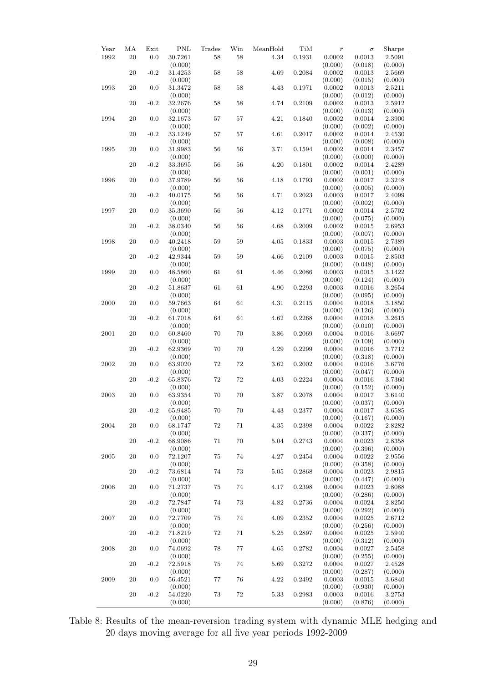| Year       | MA              | Exit   | <b>PNL</b> | Trades   | Win    | MeanHold | TiM    | $\bar{r}$ | $\sigma$ | Sharpe  |
|------------|-----------------|--------|------------|----------|--------|----------|--------|-----------|----------|---------|
| 1992       | $\overline{20}$ | 0.0    | 30.7261    | 58       | 58     | 4.34     | 0.1931 | 0.0002    | 0.0013   | 2.5091  |
|            |                 |        | (0.000)    |          |        |          |        | (0.000)   | (0.018)  | (0.000) |
|            | $20\,$          | $-0.2$ | 31.4253    | $58\,$   | $58\,$ | 4.69     | 0.2084 | 0.0002    | 0.0013   | 2.5669  |
|            |                 |        | (0.000)    |          |        |          |        | (0.000)   | (0.015)  | (0.000) |
| 1993       | 20              | 0.0    | 31.3472    | 58       | 58     | 4.43     | 0.1971 | 0.0002    | 0.0013   | 2.5211  |
|            |                 |        | (0.000)    |          |        |          |        | (0.000)   | (0.012)  | (0.000) |
|            | $20\,$          | $-0.2$ | 32.2676    | 58       | 58     | 4.74     | 0.2109 | 0.0002    | 0.0013   | 2.5912  |
|            |                 |        | (0.000)    |          |        |          |        | (0.000)   | (0.013)  | (0.000) |
| 1994       | $20\,$          | 0.0    | 32.1673    | 57       | 57     | 4.21     | 0.1840 | 0.0002    | 0.0014   | 2.3900  |
|            |                 |        | (0.000)    |          |        |          |        | (0.000)   | (0.002)  | (0.000) |
|            | 20              | $-0.2$ | 33.1249    | 57       | 57     | 4.61     | 0.2017 | 0.0002    | 0.0014   | 2.4530  |
|            |                 |        | (0.000)    |          |        |          |        | (0.000)   | (0.008)  | (0.000) |
| 1995       | $20\,$          | 0.0    | 31.9983    | 56       | 56     | 3.71     | 0.1594 | 0.0002    | 0.0014   | 2.3457  |
|            |                 |        | (0.000)    |          |        |          |        | (0.000)   | (0.000)  | (0.000) |
|            | $20\,$          | $-0.2$ | 33.3695    | 56       | 56     | 4.20     | 0.1801 | 0.0002    | 0.0014   | 2.4289  |
|            |                 |        | (0.000)    |          |        |          |        | (0.000)   | (0.001)  | (0.000) |
| 1996       | $20\,$          | 0.0    | 37.9789    | 56       | 56     | 4.18     | 0.1793 | 0.0002    | 0.0017   | 2.3248  |
|            |                 |        | (0.000)    |          |        |          |        | (0.000)   | (0.005)  | (0.000) |
|            | $20\,$          | $-0.2$ | 40.0175    | 56       | 56     | 4.71     | 0.2023 | 0.0003    | 0.0017   | 2.4099  |
|            |                 |        | (0.000)    |          |        |          |        | (0.000)   | (0.002)  | (0.000) |
| 1997       | 20              | 0.0    | 35.3690    | 56       | 56     | 4.12     | 0.1771 | 0.0002    | 0.0014   | 2.5702  |
|            |                 |        | (0.000)    |          |        |          |        | (0.000)   | (0.075)  | (0.000) |
|            | 20              | $-0.2$ | 38.0340    | 56       | 56     | 4.68     | 0.2009 | 0.0002    | 0.0015   | 2.6953  |
|            |                 |        | (0.000)    |          |        |          |        | (0.000)   | (0.007)  | (0.000) |
| 1998       | $20\,$          | 0.0    | 40.2418    | 59       | 59     | 4.05     | 0.1833 | 0.0003    | 0.0015   | 2.7389  |
|            |                 |        | (0.000)    |          |        |          |        | (0.000)   | (0.075)  | (0.000) |
|            | $20\,$          | $-0.2$ | 42.9344    | 59       | 59     | 4.66     | 0.2109 | 0.0003    | 0.0015   | 2.8503  |
|            |                 |        | (0.000)    |          |        |          |        | (0.000)   | (0.048)  | (0.000) |
| 1999       | $20\,$          | 0.0    | 48.5860    | 61       | 61     | 4.46     | 0.2086 | 0.0003    | 0.0015   | 3.1422  |
|            |                 |        | (0.000)    |          |        |          |        | (0.000)   | (0.124)  | (0.000) |
|            | $20\,$          | $-0.2$ | 51.8637    | $61\,$   | 61     | 4.90     | 0.2293 | 0.0003    | 0.0016   | 3.2654  |
|            |                 |        | (0.000)    |          |        |          |        | (0.000)   | (0.095)  | (0.000) |
| 2000       | $20\,$          | 0.0    | 59.7663    | 64       | 64     | 4.31     | 0.2115 | 0.0004    | 0.0018   | 3.1850  |
|            |                 |        | (0.000)    |          |        |          |        | (0.000)   | (0.126)  | (0.000) |
|            | $20\,$          | $-0.2$ | 61.7018    | 64       | 64     | 4.62     | 0.2268 | 0.0004    | 0.0018   | 3.2615  |
|            |                 |        | (0.000)    |          |        |          |        | (0.000)   | (0.010)  | (0.000) |
| 2001       | 20              | 0.0    | 60.8460    | 70       | 70     | 3.86     | 0.2069 | 0.0004    | 0.0016   | 3.6697  |
|            |                 |        | (0.000)    |          |        |          |        | (0.000)   | (0.109)  | (0.000) |
|            | $20\,$          | $-0.2$ | 62.9369    | 70       | 70     | 4.29     | 0.2299 | 0.0004    | 0.0016   | 3.7712  |
|            |                 |        | (0.000)    |          |        |          |        | (0.000)   | (0.318)  | (0.000) |
| $\,2002\,$ | $20\,$          | 0.0    | 63.9020    | $\rm 72$ | 72     | $3.62\,$ | 0.2002 | 0.0004    | 0.0016   | 3.6776  |
|            |                 |        | (0.000)    |          |        |          |        | (0.000)   | (0.047)  | (0.000) |
|            | 20              | $-0.2$ | 65.8376    | $\rm 72$ | $72\,$ | 4.03     | 0.2224 | 0.0004    | 0.0016   | 3.7360  |
|            |                 |        | (0.000)    |          |        |          |        | (0.000)   | (0.152)  | (0.000) |
| 2003       | $20\,$          | 0.0    | 63.9354    | 70       | 70     | 3.87     | 0.2078 | 0.0004    | 0.0017   | 3.6140  |
|            |                 |        | (0.000)    |          |        |          |        | (0.000)   | (0.037)  | (0.000) |
|            | $20\,$          | $-0.2$ | 65.9485    | $70\,$   | 70     | $4.43\,$ | 0.2377 | 0.0004    | 0.0017   | 3.6585  |
|            |                 |        | (0.000)    |          |        |          |        | (0.000)   | (0.167)  | (0.000) |
| 2004       | $20\,$          | 0.0    | 68.1747    | $\rm 72$ | $71\,$ | 4.35     | 0.2398 | 0.0004    | 0.0022   | 2.8282  |
|            |                 |        | (0.000)    |          |        |          |        | (0.000)   | (0.337)  | (0.000) |
|            | $20\,$          | $-0.2$ | 68.9086    | $71\,$   | 70     | 5.04     | 0.2743 | 0.0004    | 0.0023   | 2.8358  |
|            |                 |        | (0.000)    |          |        |          |        | (0.000)   | (0.396)  | (0.000) |
| $\,2005\,$ | 20              | 0.0    | 72.1207    | 75       | 74     | 4.27     | 0.2454 | 0.0004    | 0.0022   | 2.9556  |
|            |                 |        | (0.000)    |          |        |          |        | (0.000)   | (0.358)  | (0.000) |
|            | 20              | $-0.2$ | 73.6814    | 74       | 73     | 5.05     | 0.2868 | 0.0004    | 0.0023   | 2.9815  |
|            |                 |        | (0.000)    |          |        |          |        | (0.000)   | (0.447)  | (0.000) |
| 2006       | 20              | 0.0    | 71.2737    | 75       | 74     | 4.17     | 0.2398 | 0.0004    | 0.0023   | 2.8088  |
|            |                 |        | (0.000)    |          |        |          |        | (0.000)   | (0.286)  | (0.000) |
|            | 20              | $-0.2$ | 72.7847    | 74       | 73     | 4.82     | 0.2736 | 0.0004    | 0.0024   | 2.8250  |
|            |                 |        | (0.000)    |          |        |          |        | (0.000)   | (0.292)  | (0.000) |
| 2007       | 20              | 0.0    | 72.7709    | 75       | 74     | 4.09     | 0.2352 | 0.0004    | 0.0025   | 2.6712  |
|            |                 |        | (0.000)    |          |        |          |        | (0.000)   | (0.256)  | (0.000) |
|            | 20              | $-0.2$ | 71.8219    | 72       | 71     | 5.25     | 0.2897 | 0.0004    | 0.0025   | 2.5940  |
|            |                 |        | (0.000)    |          |        |          |        | (0.000)   | (0.312)  | (0.000) |
| 2008       | 20              | 0.0    | 74.0692    | 78       | 77     | 4.65     | 0.2782 | 0.0004    | 0.0027   | 2.5458  |
|            |                 |        | (0.000)    |          |        |          |        | (0.000)   | (0.255)  | (0.000) |
|            | 20              | $-0.2$ | 72.5918    | 75       | 74     | 5.69     | 0.3272 | 0.0004    | 0.0027   | 2.4528  |
|            |                 |        | (0.000)    |          |        |          |        | (0.000)   | (0.287)  | (0.000) |
| 2009       | 20              | 0.0    | 56.4521    | 77       | 76     | 4.22     | 0.2492 | 0.0003    | 0.0015   | 3.6840  |
|            |                 |        | (0.000)    |          |        |          |        | (0.000)   | (0.930)  | (0.000) |
|            | 20              | $-0.2$ | 54.0220    | 73       | 72     | 5.33     | 0.2983 | 0.0003    | 0.0016   | 3.2753  |
|            |                 |        | (0.000)    |          |        |          |        | (0.000)   | (0.876)  | (0.000) |
|            |                 |        |            |          |        |          |        |           |          |         |

Table 8: Results of the mean-reversion trading system with dynamic MLE hedging and 20 days moving average for all five year periods 1992-2009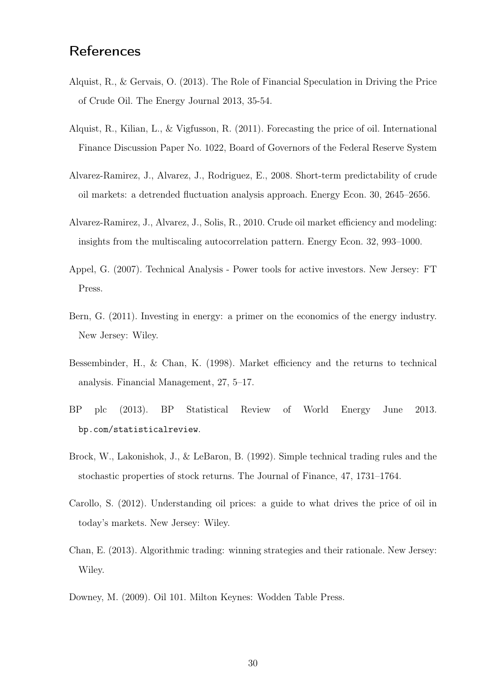## **References**

- Alquist, R., & Gervais, O. (2013). The Role of Financial Speculation in Driving the Price of Crude Oil. The Energy Journal 2013, 35-54.
- Alquist, R., Kilian, L., & Vigfusson, R. (2011). Forecasting the price of oil. International Finance Discussion Paper No. 1022, Board of Governors of the Federal Reserve System
- Alvarez-Ramirez, J., Alvarez, J., Rodriguez, E., 2008. Short-term predictability of crude oil markets: a detrended fluctuation analysis approach. Energy Econ. 30, 2645–2656.
- Alvarez-Ramirez, J., Alvarez, J., Solis, R., 2010. Crude oil market efficiency and modeling: insights from the multiscaling autocorrelation pattern. Energy Econ. 32, 993–1000.
- Appel, G. (2007). Technical Analysis Power tools for active investors. New Jersey: FT Press.
- Bern, G. (2011). Investing in energy: a primer on the economics of the energy industry. New Jersey: Wiley.
- Bessembinder, H., & Chan, K. (1998). Market efficiency and the returns to technical analysis. Financial Management, 27, 5–17.
- BP plc (2013). BP Statistical Review of World Energy June 2013. bp.com/statisticalreview.
- Brock, W., Lakonishok, J., & LeBaron, B. (1992). Simple technical trading rules and the stochastic properties of stock returns. The Journal of Finance, 47, 1731–1764.
- Carollo, S. (2012). Understanding oil prices: a guide to what drives the price of oil in today's markets. New Jersey: Wiley.
- Chan, E. (2013). Algorithmic trading: winning strategies and their rationale. New Jersey: Wiley.
- Downey, M. (2009). Oil 101. Milton Keynes: Wodden Table Press.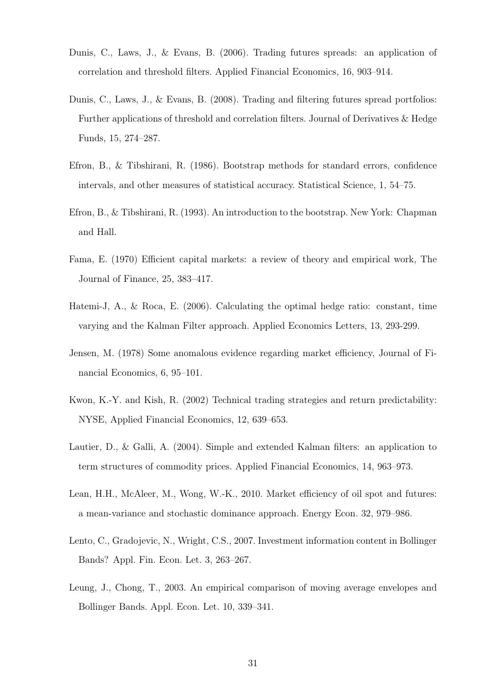- Dunis, C., Laws, J., & Evans, B. (2006). Trading futures spreads: an application of correlation and threshold filters. Applied Financial Economics, 16, 903–914.
- Dunis, C., Laws, J., & Evans, B. (2008). Trading and filtering futures spread portfolios: Further applications of threshold and correlation filters. Journal of Derivatives & Hedge Funds, 15, 274–287.
- Efron, B., & Tibshirani, R. (1986). Bootstrap methods for standard errors, confidence intervals, and other measures of statistical accuracy. Statistical Science, 1, 54–75.
- Efron, B., & Tibshirani, R. (1993). An introduction to the bootstrap. New York: Chapman and Hall.
- Fama, E. (1970) Efficient capital markets: a review of theory and empirical work, The Journal of Finance, 25, 383–417.
- Hatemi-J, A., & Roca, E. (2006). Calculating the optimal hedge ratio: constant, time varying and the Kalman Filter approach. Applied Economics Letters, 13, 293-299.
- Jensen, M. (1978) Some anomalous evidence regarding market efficiency, Journal of Financial Economics, 6, 95–101.
- Kwon, K.-Y. and Kish, R. (2002) Technical trading strategies and return predictability: NYSE, Applied Financial Economics, 12, 639–653.
- Lautier, D., & Galli, A. (2004). Simple and extended Kalman filters: an application to term structures of commodity prices. Applied Financial Economics, 14, 963–973.
- Lean, H.H., McAleer, M., Wong, W.-K., 2010. Market efficiency of oil spot and futures: a mean-variance and stochastic dominance approach. Energy Econ. 32, 979–986.
- Lento, C., Gradojevic, N., Wright, C.S., 2007. Investment information content in Bollinger Bands? Appl. Fin. Econ. Let. 3, 263–267.
- Leung, J., Chong, T., 2003. An empirical comparison of moving average envelopes and Bollinger Bands. Appl. Econ. Let. 10, 339–341.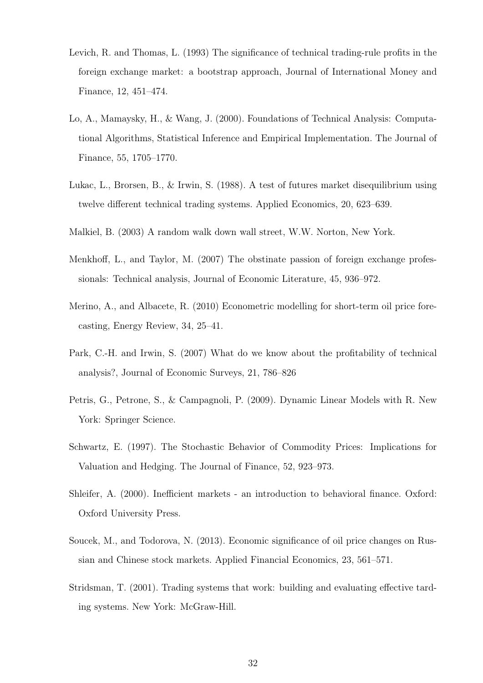- Levich, R. and Thomas, L. (1993) The significance of technical trading-rule profits in the foreign exchange market: a bootstrap approach, Journal of International Money and Finance, 12, 451–474.
- Lo, A., Mamaysky, H., & Wang, J. (2000). Foundations of Technical Analysis: Computational Algorithms, Statistical Inference and Empirical Implementation. The Journal of Finance, 55, 1705–1770.
- Lukac, L., Brorsen, B., & Irwin, S. (1988). A test of futures market disequilibrium using twelve different technical trading systems. Applied Economics, 20, 623–639.
- Malkiel, B. (2003) A random walk down wall street, W.W. Norton, New York.
- Menkhoff, L., and Taylor, M. (2007) The obstinate passion of foreign exchange professionals: Technical analysis, Journal of Economic Literature, 45, 936–972.
- Merino, A., and Albacete, R. (2010) Econometric modelling for short-term oil price forecasting, Energy Review, 34, 25–41.
- Park, C.-H. and Irwin, S. (2007) What do we know about the profitability of technical analysis?, Journal of Economic Surveys, 21, 786–826
- Petris, G., Petrone, S., & Campagnoli, P. (2009). Dynamic Linear Models with R. New York: Springer Science.
- Schwartz, E. (1997). The Stochastic Behavior of Commodity Prices: Implications for Valuation and Hedging. The Journal of Finance, 52, 923–973.
- Shleifer, A. (2000). Inefficient markets an introduction to behavioral finance. Oxford: Oxford University Press.
- Soucek, M., and Todorova, N. (2013). Economic significance of oil price changes on Russian and Chinese stock markets. Applied Financial Economics, 23, 561–571.
- Stridsman, T. (2001). Trading systems that work: building and evaluating effective tarding systems. New York: McGraw-Hill.